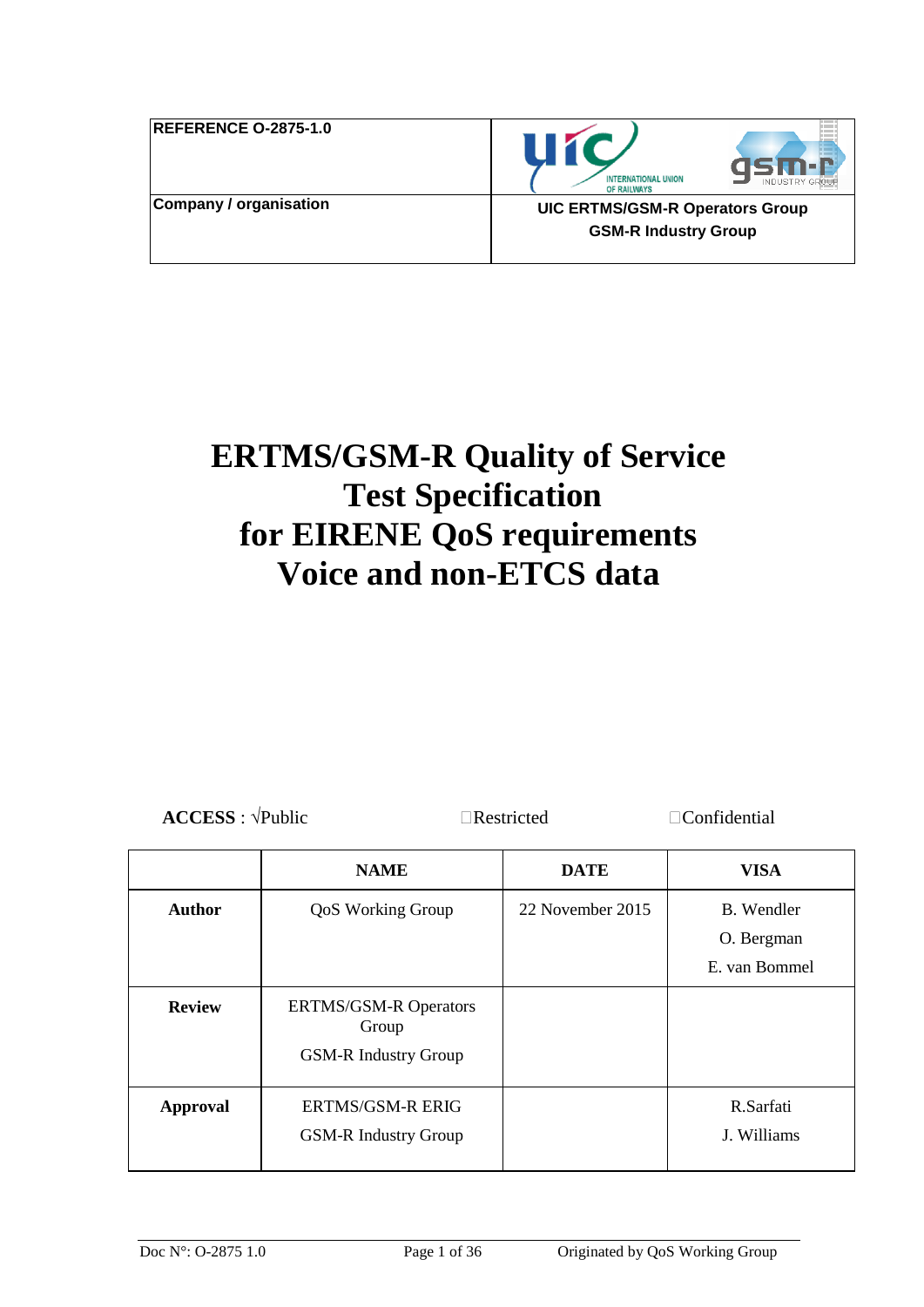| <b>REFERENCE O-2875-1.0</b>   |  |
|-------------------------------|--|
| <b>Company / organisation</b> |  |





**Company / organisation UIC ERTMS/GSM-R Operators Group GSM-R Industry Group** 

# **ERTMS/GSM-R Quality of Service Test Specification for EIRENE QoS requirements Voice and non-ETCS data**

| $\text{ACCESS}: \forall \text{Public}$ |                              | $\Box$ Restricted<br>$\Box$ Confidential |                                           |
|----------------------------------------|------------------------------|------------------------------------------|-------------------------------------------|
|                                        | <b>NAME</b>                  | <b>DATE</b>                              | VISA                                      |
| <b>Author</b>                          | <b>QoS Working Group</b>     | 22 November 2015                         | B. Wendler<br>O. Bergman<br>E. van Bommel |
| <b>Review</b>                          | <b>ERTMS/GSM-R Operators</b> |                                          |                                           |

Group GSM-R Industry Group

GSM-R Industry Group

**Approval** ERTMS/GSM-R ERIG

R.Sarfati J. Williams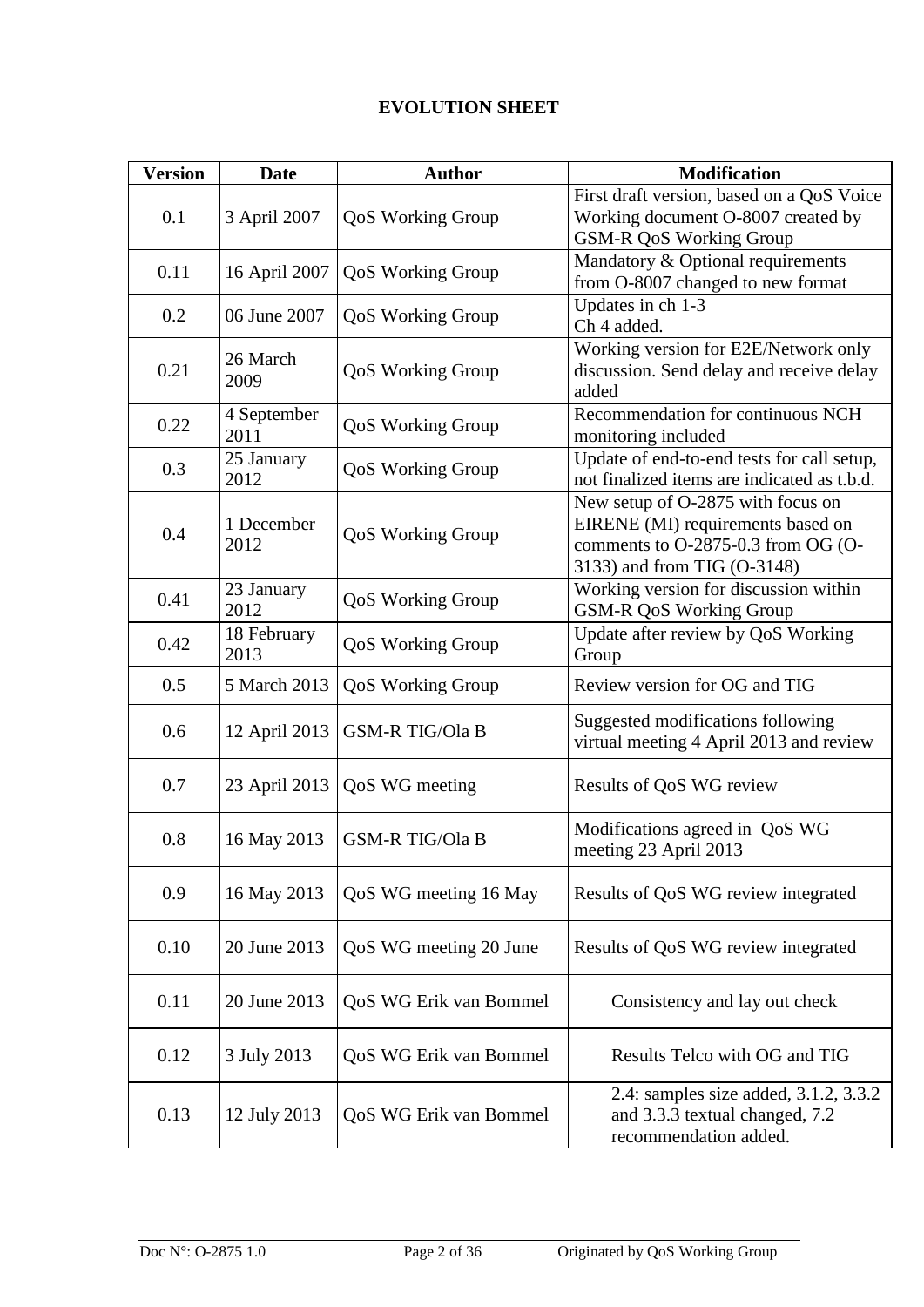## **EVOLUTION SHEET**

| <b>Version</b> | <b>Date</b>         | <b>Author</b>            | <b>Modification</b>                                                                                                                         |
|----------------|---------------------|--------------------------|---------------------------------------------------------------------------------------------------------------------------------------------|
| 0.1            | 3 April 2007        | <b>QoS Working Group</b> | First draft version, based on a QoS Voice<br>Working document O-8007 created by<br>GSM-R QoS Working Group                                  |
| 0.11           | 16 April 2007       | QoS Working Group        | Mandatory & Optional requirements<br>from O-8007 changed to new format                                                                      |
| 0.2            | 06 June 2007        | QoS Working Group        | Updates in ch 1-3<br>Ch 4 added.                                                                                                            |
| 0.21           | 26 March<br>2009    | <b>QoS Working Group</b> | Working version for E2E/Network only<br>discussion. Send delay and receive delay<br>added                                                   |
| 0.22           | 4 September<br>2011 | <b>QoS Working Group</b> | Recommendation for continuous NCH<br>monitoring included                                                                                    |
| 0.3            | 25 January<br>2012  | <b>QoS Working Group</b> | Update of end-to-end tests for call setup,<br>not finalized items are indicated as t.b.d.                                                   |
| 0.4            | 1 December<br>2012  | <b>QoS Working Group</b> | New setup of O-2875 with focus on<br>EIRENE (MI) requirements based on<br>comments to O-2875-0.3 from OG (O-<br>3133) and from TIG (O-3148) |
| 0.41           | 23 January<br>2012  | <b>QoS Working Group</b> | Working version for discussion within<br>GSM-R QoS Working Group                                                                            |
| 0.42           | 18 February<br>2013 | <b>QoS Working Group</b> | Update after review by QoS Working<br>Group                                                                                                 |
| 0.5            | 5 March 2013        | <b>QoS Working Group</b> | Review version for OG and TIG                                                                                                               |
| 0.6            | 12 April 2013       | <b>GSM-R TIG/Ola B</b>   | Suggested modifications following<br>virtual meeting 4 April 2013 and review                                                                |
| 0.7            | 23 April 2013       | QoS WG meeting           | Results of QoS WG review                                                                                                                    |
| 0.8            | 16 May 2013         | <b>GSM-R TIG/Ola B</b>   | Modifications agreed in QoS WG<br>meeting 23 April 2013                                                                                     |
| 0.9            | 16 May 2013         | QoS WG meeting 16 May    | Results of QoS WG review integrated                                                                                                         |
| 0.10           | 20 June 2013        | QoS WG meeting 20 June   | Results of QoS WG review integrated                                                                                                         |
| 0.11           | 20 June 2013        | QoS WG Erik van Bommel   | Consistency and lay out check                                                                                                               |
| 0.12           | 3 July 2013         | QoS WG Erik van Bommel   | Results Telco with OG and TIG                                                                                                               |
| 0.13           | 12 July 2013        | QoS WG Erik van Bommel   | 2.4: samples size added, 3.1.2, 3.3.2<br>and 3.3.3 textual changed, 7.2<br>recommendation added.                                            |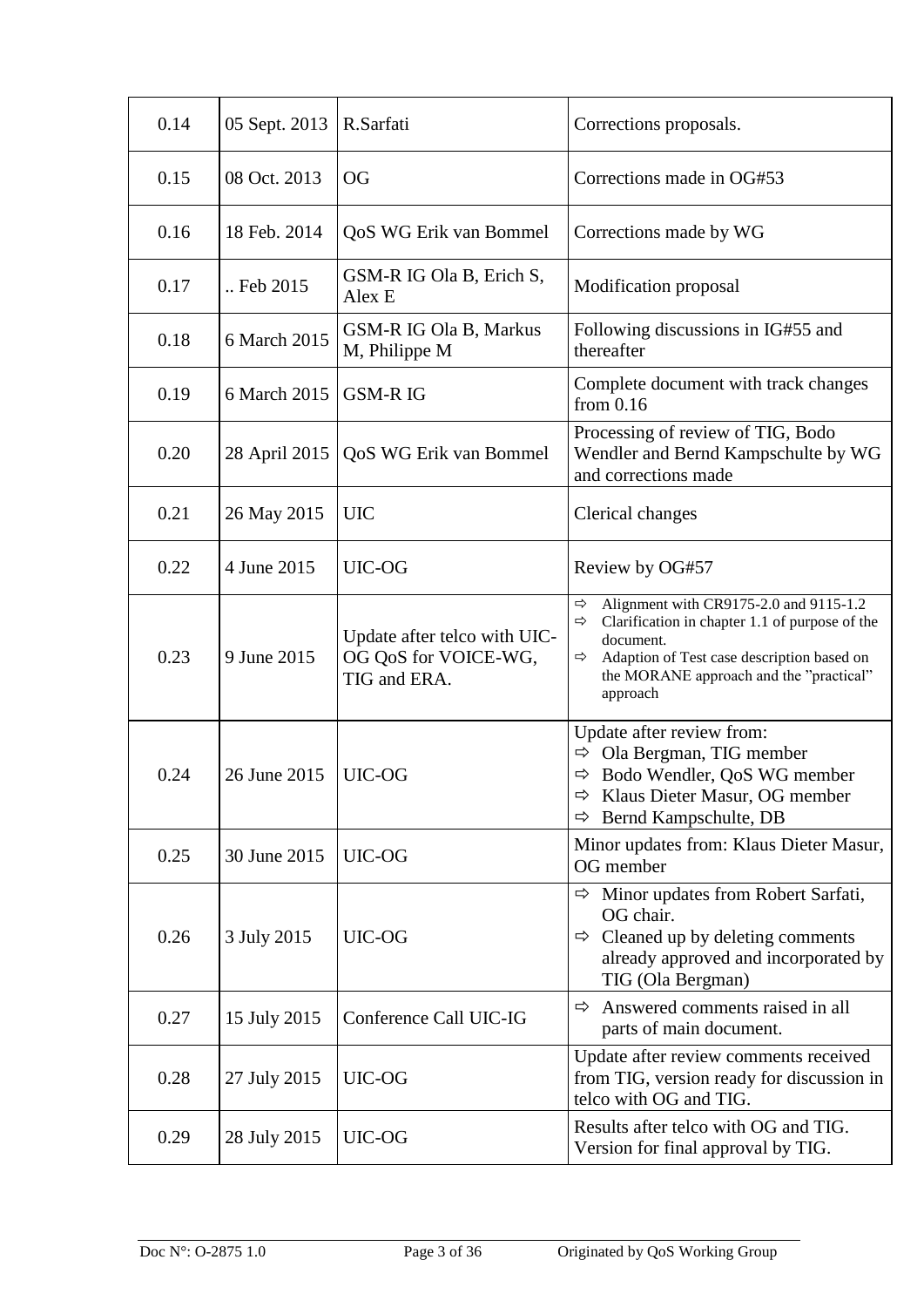| 0.14 | 05 Sept. 2013 | R.Sarfati                                                            | Corrections proposals.                                                                                                                                                                                                                |
|------|---------------|----------------------------------------------------------------------|---------------------------------------------------------------------------------------------------------------------------------------------------------------------------------------------------------------------------------------|
| 0.15 | 08 Oct. 2013  | <b>OG</b><br>Corrections made in OG#53                               |                                                                                                                                                                                                                                       |
| 0.16 | 18 Feb. 2014  | QoS WG Erik van Bommel                                               | Corrections made by WG                                                                                                                                                                                                                |
| 0.17 | Feb 2015      | GSM-R IG Ola B, Erich S,<br>Alex E                                   | Modification proposal                                                                                                                                                                                                                 |
| 0.18 | 6 March 2015  | GSM-R IG Ola B, Markus<br>M, Philippe M                              | Following discussions in IG#55 and<br>thereafter                                                                                                                                                                                      |
| 0.19 | 6 March 2015  | <b>GSM-RIG</b>                                                       | Complete document with track changes<br>from $0.16$                                                                                                                                                                                   |
| 0.20 | 28 April 2015 | QoS WG Erik van Bommel                                               | Processing of review of TIG, Bodo<br>Wendler and Bernd Kampschulte by WG<br>and corrections made                                                                                                                                      |
| 0.21 | 26 May 2015   | <b>UIC</b>                                                           | Clerical changes                                                                                                                                                                                                                      |
| 0.22 | 4 June 2015   | UIC-OG                                                               | Review by OG#57                                                                                                                                                                                                                       |
| 0.23 | 9 June 2015   | Update after telco with UIC-<br>OG QoS for VOICE-WG,<br>TIG and ERA. | Alignment with CR9175-2.0 and 9115-1.2<br>$\Rightarrow$<br>Clarification in chapter 1.1 of purpose of the<br>⇨<br>document.<br>Adaption of Test case description based on<br>⇨<br>the MORANE approach and the "practical"<br>approach |
| 0.24 | 26 June 2015  | UIC-OG                                                               | Update after review from:<br>$\Rightarrow$ Ola Bergman, TIG member<br>Bodo Wendler, QoS WG member<br>⇨<br>Klaus Dieter Masur, OG member<br>Bernd Kampschulte, DB<br>⇨                                                                 |
| 0.25 | 30 June 2015  | UIC-OG                                                               | Minor updates from: Klaus Dieter Masur,<br>OG member                                                                                                                                                                                  |
| 0.26 | 3 July 2015   | UIC-OG                                                               | Minor updates from Robert Sarfati,<br>⇨<br>OG chair.<br>Cleaned up by deleting comments<br>⇨<br>already approved and incorporated by<br>TIG (Ola Bergman)                                                                             |
| 0.27 | 15 July 2015  | Conference Call UIC-IG                                               | Answered comments raised in all<br>⇨<br>parts of main document.                                                                                                                                                                       |
| 0.28 | 27 July 2015  | UIC-OG                                                               | Update after review comments received<br>from TIG, version ready for discussion in<br>telco with OG and TIG.                                                                                                                          |
| 0.29 | 28 July 2015  | UIC-OG                                                               | Results after telco with OG and TIG.<br>Version for final approval by TIG.                                                                                                                                                            |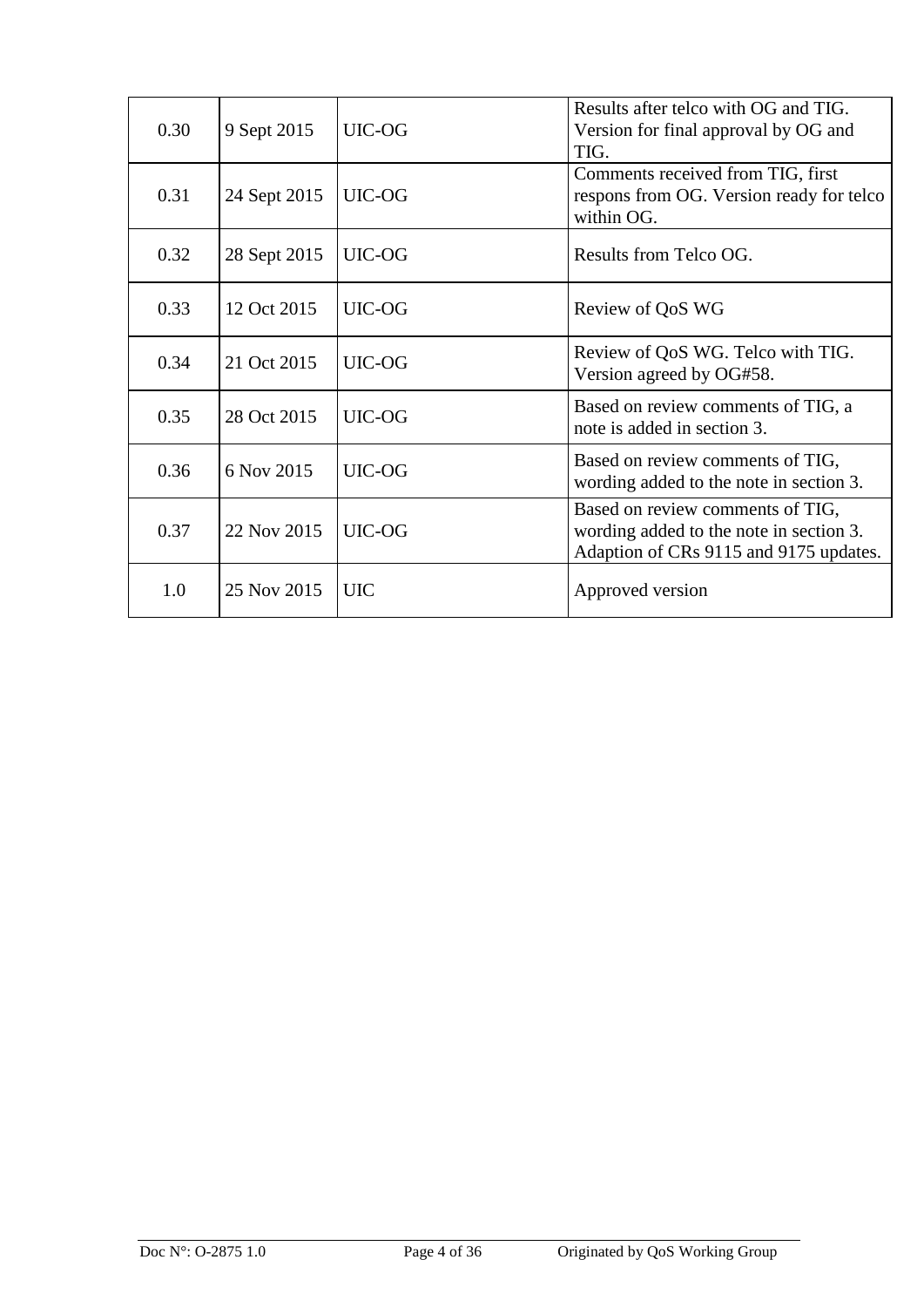| 0.30 | 9 Sept 2015  | UIC-OG     | Results after telco with OG and TIG.<br>Version for final approval by OG and<br>TIG.                                  |  |
|------|--------------|------------|-----------------------------------------------------------------------------------------------------------------------|--|
| 0.31 | 24 Sept 2015 | UIC-OG     | Comments received from TIG, first<br>respons from OG. Version ready for telco<br>within OG.                           |  |
| 0.32 | 28 Sept 2015 | UIC-OG     | Results from Telco OG.                                                                                                |  |
| 0.33 | 12 Oct 2015  | UIC-OG     | Review of QoS WG                                                                                                      |  |
| 0.34 | 21 Oct 2015  | UIC-OG     | Review of QoS WG. Telco with TIG.<br>Version agreed by OG#58.                                                         |  |
| 0.35 | 28 Oct 2015  | UIC-OG     | Based on review comments of TIG, a<br>note is added in section 3.                                                     |  |
| 0.36 | 6 Nov 2015   | UIC-OG     | Based on review comments of TIG,<br>wording added to the note in section 3.                                           |  |
| 0.37 | 22 Nov 2015  | UIC-OG     | Based on review comments of TIG,<br>wording added to the note in section 3.<br>Adaption of CRs 9115 and 9175 updates. |  |
| 1.0  | 25 Nov 2015  | <b>UIC</b> | Approved version                                                                                                      |  |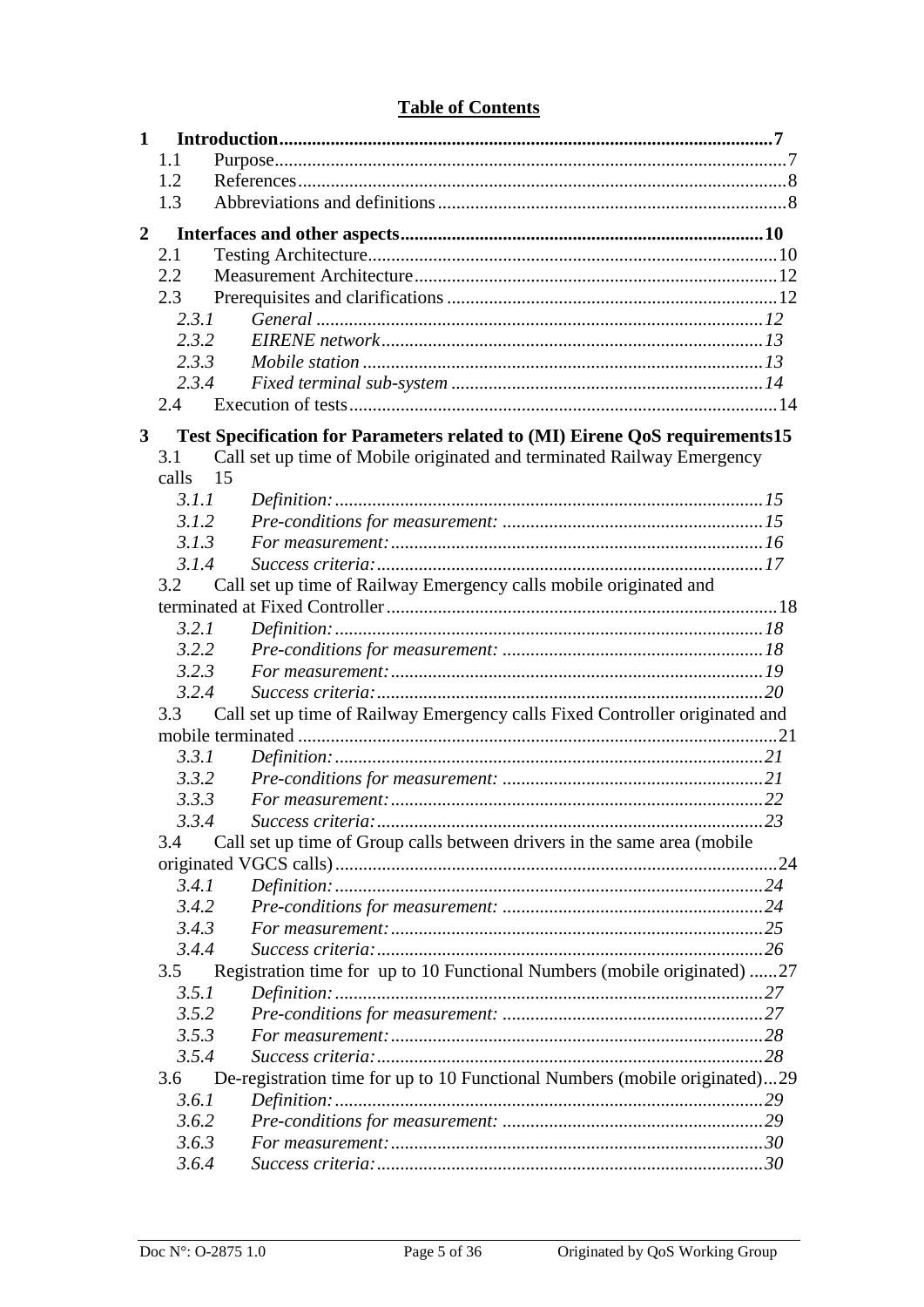### **Table of Contents**

| 1              |       |                                                                             |
|----------------|-------|-----------------------------------------------------------------------------|
|                | 1.1   |                                                                             |
|                | 1.2   |                                                                             |
|                | 1.3   |                                                                             |
| $\overline{2}$ |       |                                                                             |
|                | 2.1   |                                                                             |
|                | 2.2   |                                                                             |
|                | 2.3   |                                                                             |
|                | 2.3.1 |                                                                             |
|                | 2.3.2 |                                                                             |
|                | 2.3.3 |                                                                             |
|                | 2.3.4 |                                                                             |
|                | 2.4   |                                                                             |
| $\mathbf{3}$   |       | Test Specification for Parameters related to (MI) Eirene QoS requirements15 |
|                | 3.1   | Call set up time of Mobile originated and terminated Railway Emergency      |
|                | calls | - 15                                                                        |
|                | 3.1.1 |                                                                             |
|                | 3.1.2 |                                                                             |
|                | 3.1.3 |                                                                             |
|                | 3.1.4 |                                                                             |
|                | 3.2   | Call set up time of Railway Emergency calls mobile originated and           |
|                |       |                                                                             |
|                | 3.2.1 |                                                                             |
|                | 3.2.2 |                                                                             |
|                | 3.2.3 |                                                                             |
|                | 3.2.4 |                                                                             |
|                | 3.3   | Call set up time of Railway Emergency calls Fixed Controller originated and |
|                |       |                                                                             |
|                | 3.3.1 |                                                                             |
|                | 3.3.2 |                                                                             |
|                | 3.3.3 |                                                                             |
|                | 3.3.4 |                                                                             |
|                | 3.4   | Call set up time of Group calls between drivers in the same area (mobile    |
|                |       |                                                                             |
|                | 3.4.1 |                                                                             |
|                | 3.4.2 |                                                                             |
|                | 3.4.3 |                                                                             |
|                | 3.4.4 |                                                                             |
|                | 3.5   | Registration time for up to 10 Functional Numbers (mobile originated) 27    |
|                | 3.5.1 |                                                                             |
|                | 3.5.2 |                                                                             |
|                | 3.5.3 |                                                                             |
|                | 3.5.4 |                                                                             |
|                | 3.6   | De-registration time for up to 10 Functional Numbers (mobile originated)29  |
|                | 3.6.1 |                                                                             |
|                | 3.6.2 |                                                                             |
|                | 3.6.3 |                                                                             |
|                | 3.6.4 |                                                                             |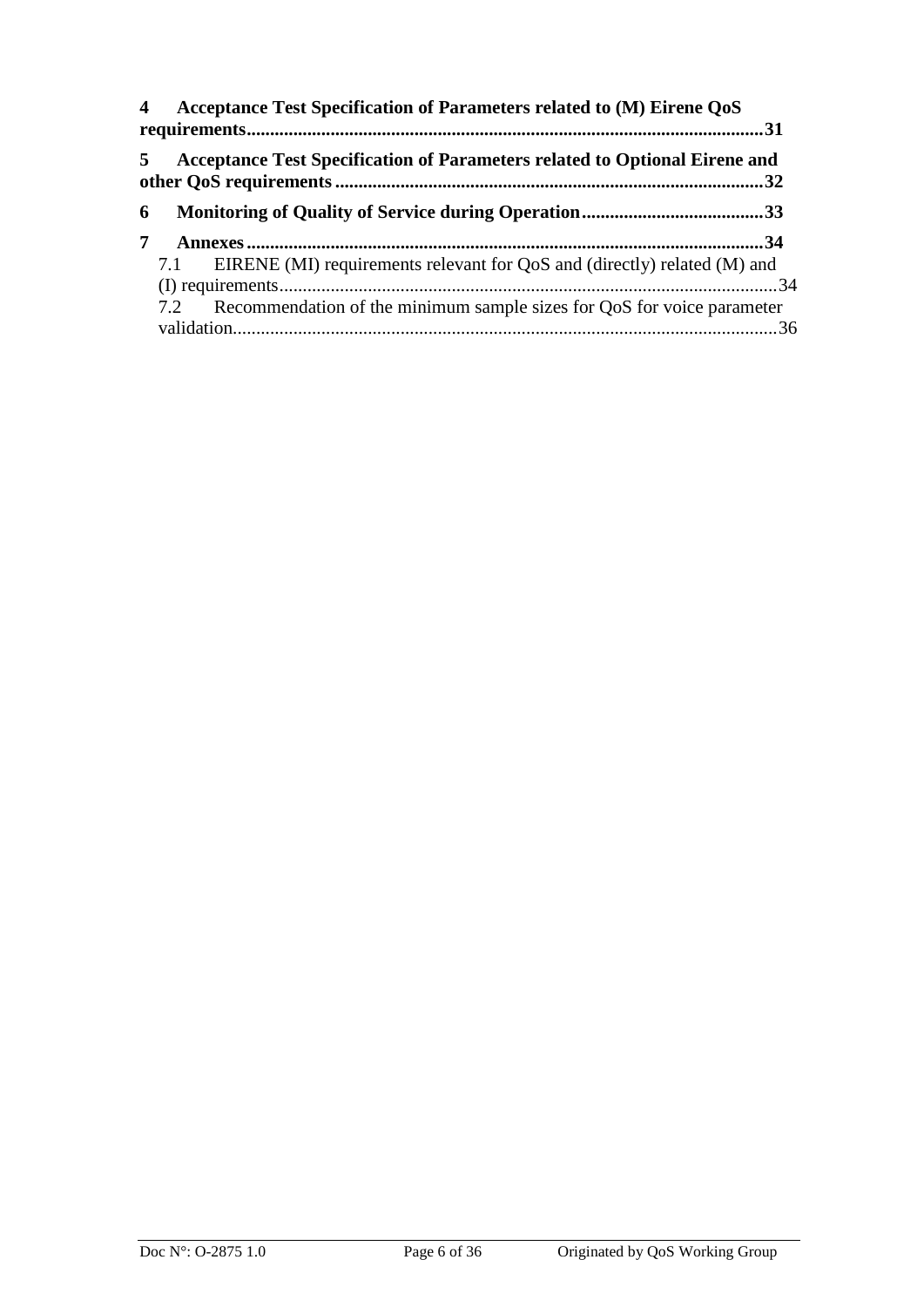| 4              | Acceptance Test Specification of Parameters related to (M) Eirene QoS<br>.31 |  |
|----------------|------------------------------------------------------------------------------|--|
| 5 <sup>1</sup> | Acceptance Test Specification of Parameters related to Optional Eirene and   |  |
| 6              |                                                                              |  |
| 7              |                                                                              |  |
|                | 7.1 EIRENE (MI) requirements relevant for QoS and (directly) related (M) and |  |
|                |                                                                              |  |
|                | 7.2 Recommendation of the minimum sample sizes for QoS for voice parameter   |  |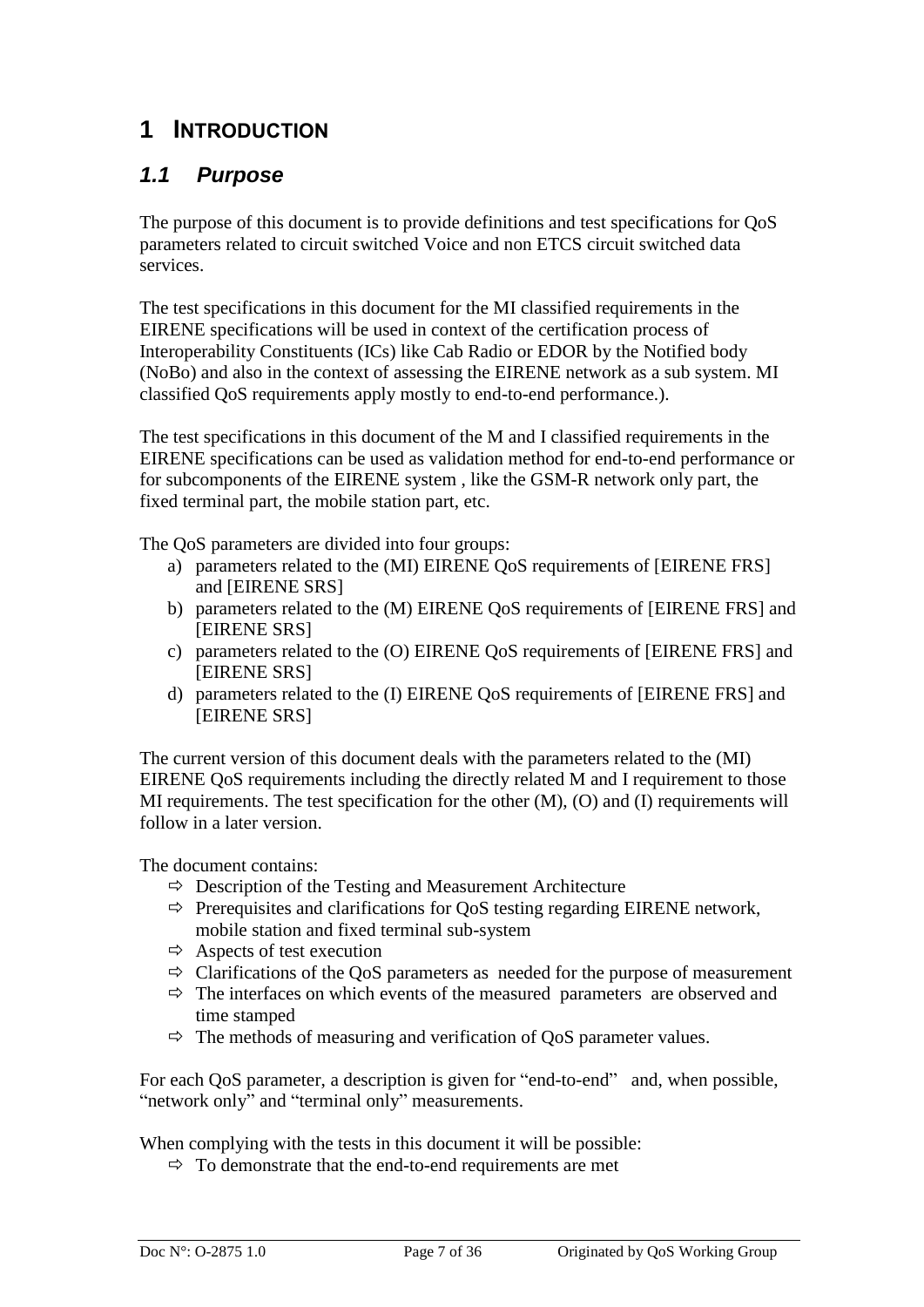## <span id="page-6-0"></span>**1 INTRODUCTION**

## <span id="page-6-1"></span>*1.1 Purpose*

The purpose of this document is to provide definitions and test specifications for QoS parameters related to circuit switched Voice and non ETCS circuit switched data services.

The test specifications in this document for the MI classified requirements in the EIRENE specifications will be used in context of the certification process of Interoperability Constituents (ICs) like Cab Radio or EDOR by the Notified body (NoBo) and also in the context of assessing the EIRENE network as a sub system. MI classified QoS requirements apply mostly to end-to-end performance.).

The test specifications in this document of the M and I classified requirements in the EIRENE specifications can be used as validation method for end-to-end performance or for subcomponents of the EIRENE system , like the GSM-R network only part, the fixed terminal part, the mobile station part, etc.

The QoS parameters are divided into four groups:

- a) parameters related to the (MI) EIRENE QoS requirements of [EIRENE FRS] and [EIRENE SRS]
- b) parameters related to the (M) EIRENE QoS requirements of [EIRENE FRS] and [EIRENE SRS]
- c) parameters related to the (O) EIRENE QoS requirements of [EIRENE FRS] and [EIRENE SRS]
- d) parameters related to the (I) EIRENE QoS requirements of [EIRENE FRS] and [EIRENE SRS]

The current version of this document deals with the parameters related to the (MI) EIRENE QoS requirements including the directly related M and I requirement to those MI requirements. The test specification for the other (M), (O) and (I) requirements will follow in a later version.

The document contains:

- $\Rightarrow$  Description of the Testing and Measurement Architecture
- $\Rightarrow$  Prerequisites and clarifications for QoS testing regarding EIRENE network, mobile station and fixed terminal sub-system
- $\Rightarrow$  Aspects of test execution
- $\Rightarrow$  Clarifications of the QoS parameters as needed for the purpose of measurement
- $\Rightarrow$  The interfaces on which events of the measured parameters are observed and time stamped
- $\Rightarrow$  The methods of measuring and verification of QoS parameter values.

For each QoS parameter, a description is given for "end-to-end" and, when possible, "network only" and "terminal only" measurements.

When complying with the tests in this document it will be possible:

 $\Rightarrow$  To demonstrate that the end-to-end requirements are met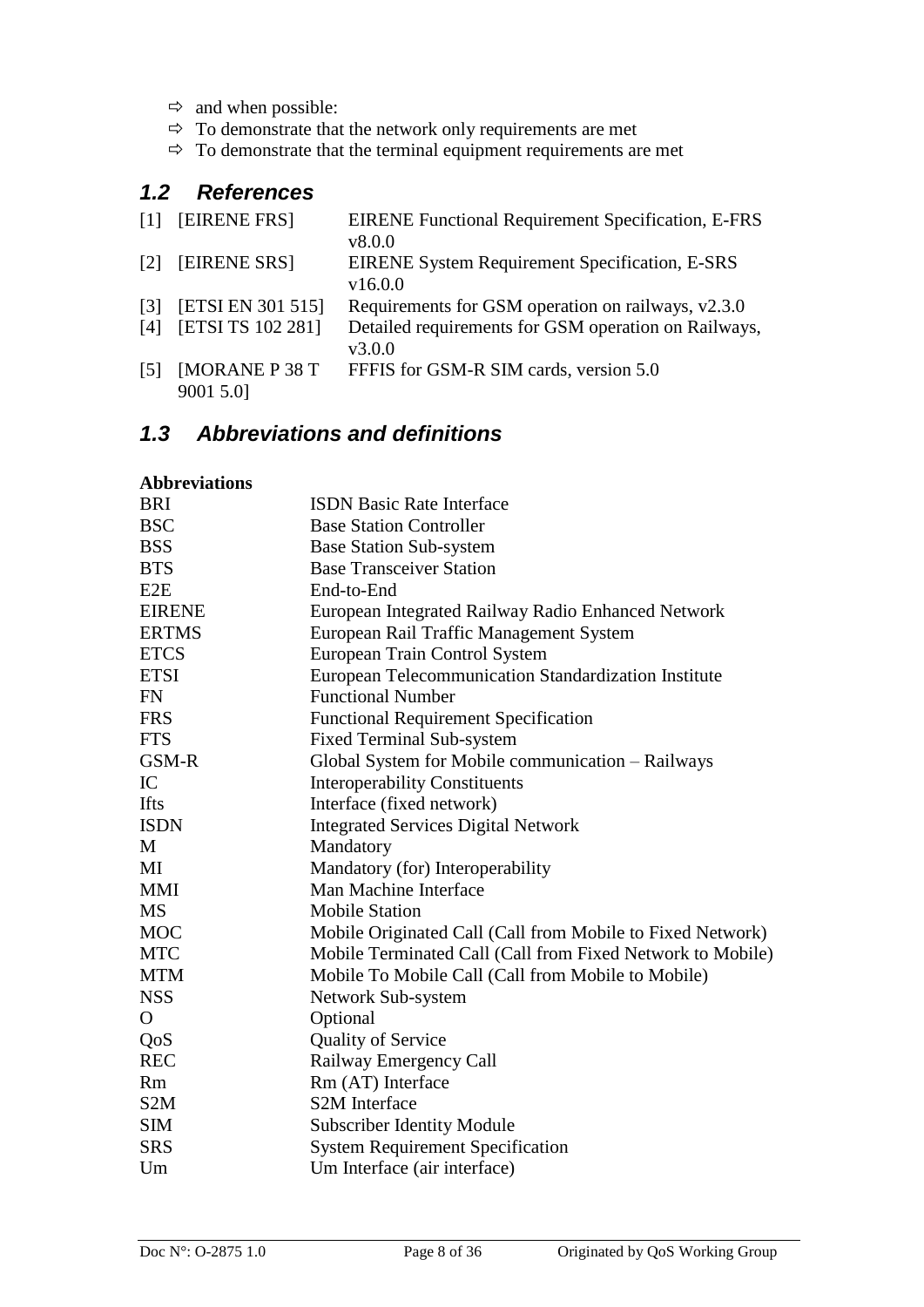- $\Leftrightarrow$  and when possible:
- $\Rightarrow$  To demonstrate that the network only requirements are met
- $\Rightarrow$  To demonstrate that the terminal equipment requirements are met

## <span id="page-7-0"></span>*1.2 References*

| $\lceil 1 \rceil$ | <b>EIRENE FRS1</b>       | <b>EIRENE Functional Requirement Specification, E-FRS</b> |
|-------------------|--------------------------|-----------------------------------------------------------|
|                   |                          | v8.0.0                                                    |
| [2]               | <b>EIRENE SRS1</b>       | <b>EIRENE System Requirement Specification, E-SRS</b>     |
|                   |                          | v16.0.0                                                   |
| $\lceil 3 \rceil$ | <b>[ETSI EN 301 515]</b> | Requirements for GSM operation on railways, v2.3.0        |
| [4]               | [ETSI TS 102 281]        | Detailed requirements for GSM operation on Railways,      |
|                   |                          | v3.0.0                                                    |
| $\lceil 5 \rceil$ | <b>[MORANE P 38 T</b>    | FFFIS for GSM-R SIM cards, version 5.0                    |
|                   | 9001 5.0]                |                                                           |

## <span id="page-7-1"></span>*1.3 Abbreviations and definitions*

#### **Abbreviations**

| <b>BRI</b>       | <b>ISDN</b> Basic Rate Interface                           |
|------------------|------------------------------------------------------------|
| <b>BSC</b>       | <b>Base Station Controller</b>                             |
| <b>BSS</b>       | <b>Base Station Sub-system</b>                             |
| <b>BTS</b>       | <b>Base Transceiver Station</b>                            |
| E2E              | End-to-End                                                 |
| <b>EIRENE</b>    | European Integrated Railway Radio Enhanced Network         |
| <b>ERTMS</b>     | European Rail Traffic Management System                    |
| <b>ETCS</b>      | European Train Control System                              |
| <b>ETSI</b>      | European Telecommunication Standardization Institute       |
| <b>FN</b>        | <b>Functional Number</b>                                   |
| <b>FRS</b>       | <b>Functional Requirement Specification</b>                |
| <b>FTS</b>       | <b>Fixed Terminal Sub-system</b>                           |
| GSM-R            | Global System for Mobile communication - Railways          |
| IC               | <b>Interoperability Constituents</b>                       |
| <b>Ifts</b>      | Interface (fixed network)                                  |
| <b>ISDN</b>      | <b>Integrated Services Digital Network</b>                 |
| M                | Mandatory                                                  |
| MI               | Mandatory (for) Interoperability                           |
| <b>MMI</b>       | Man Machine Interface                                      |
| <b>MS</b>        | <b>Mobile Station</b>                                      |
| <b>MOC</b>       | Mobile Originated Call (Call from Mobile to Fixed Network) |
| <b>MTC</b>       | Mobile Terminated Call (Call from Fixed Network to Mobile) |
| <b>MTM</b>       | Mobile To Mobile Call (Call from Mobile to Mobile)         |
| <b>NSS</b>       | Network Sub-system                                         |
| $\mathbf{O}$     | Optional                                                   |
| QoS              | <b>Quality of Service</b>                                  |
| <b>REC</b>       | Railway Emergency Call                                     |
| <b>Rm</b>        | Rm (AT) Interface                                          |
| S <sub>2</sub> M | <b>S2M</b> Interface                                       |
| <b>SIM</b>       | <b>Subscriber Identity Module</b>                          |
| <b>SRS</b>       | <b>System Requirement Specification</b>                    |
| Um               | Um Interface (air interface)                               |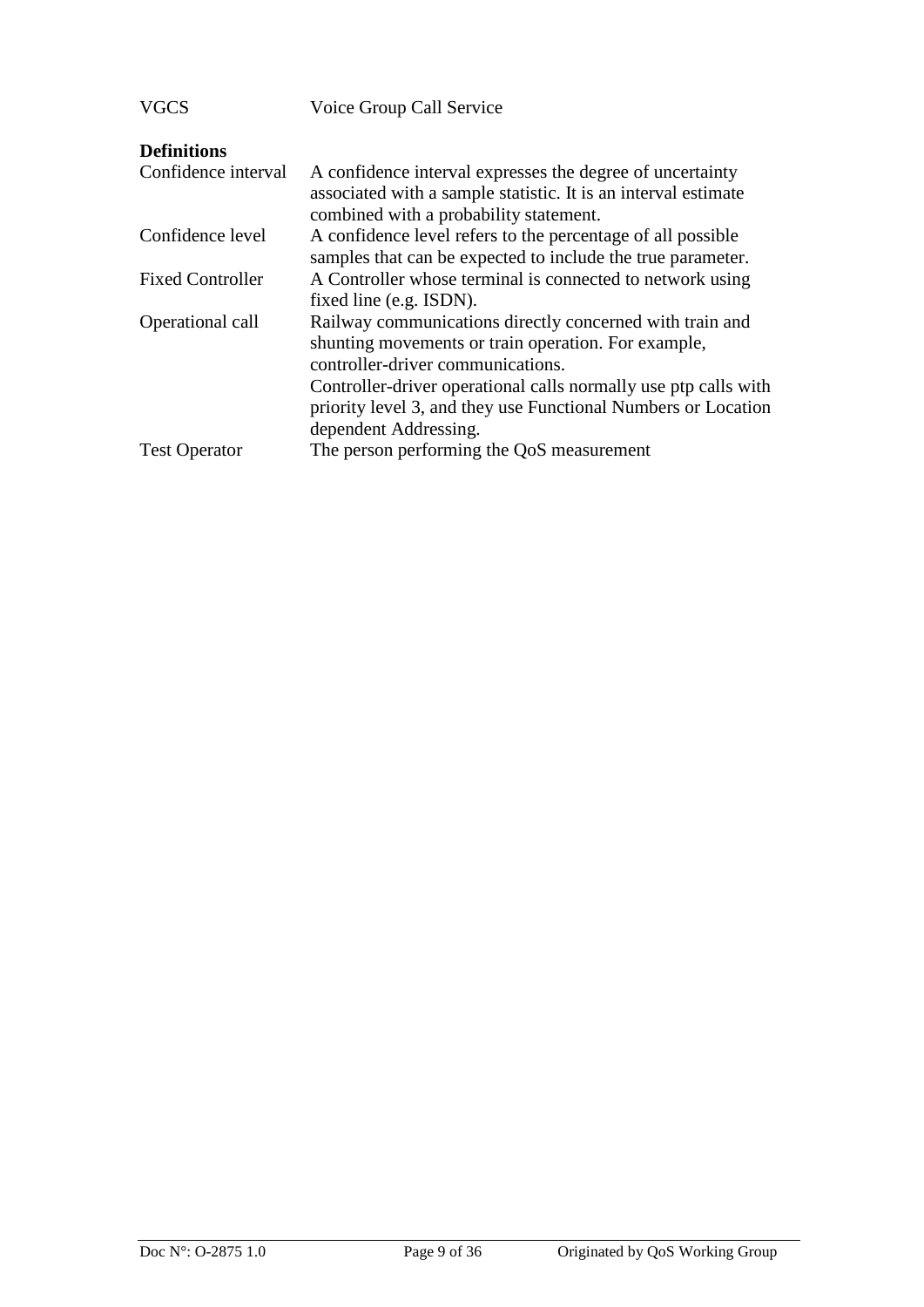| VGCS                    | Voice Group Call Service                                                                                                                                                                                                |
|-------------------------|-------------------------------------------------------------------------------------------------------------------------------------------------------------------------------------------------------------------------|
| <b>Definitions</b>      |                                                                                                                                                                                                                         |
| Confidence interval     | A confidence interval expresses the degree of uncertainty<br>associated with a sample statistic. It is an interval estimate<br>combined with a probability statement.                                                   |
| Confidence level        | A confidence level refers to the percentage of all possible<br>samples that can be expected to include the true parameter.                                                                                              |
| <b>Fixed Controller</b> | A Controller whose terminal is connected to network using<br>fixed line (e.g. ISDN).                                                                                                                                    |
| Operational call        | Railway communications directly concerned with train and<br>shunting movements or train operation. For example,<br>controller-driver communications.<br>Controller-driver operational calls normally use ptp calls with |
| <b>Test Operator</b>    | priority level 3, and they use Functional Numbers or Location<br>dependent Addressing.<br>The person performing the QoS measurement                                                                                     |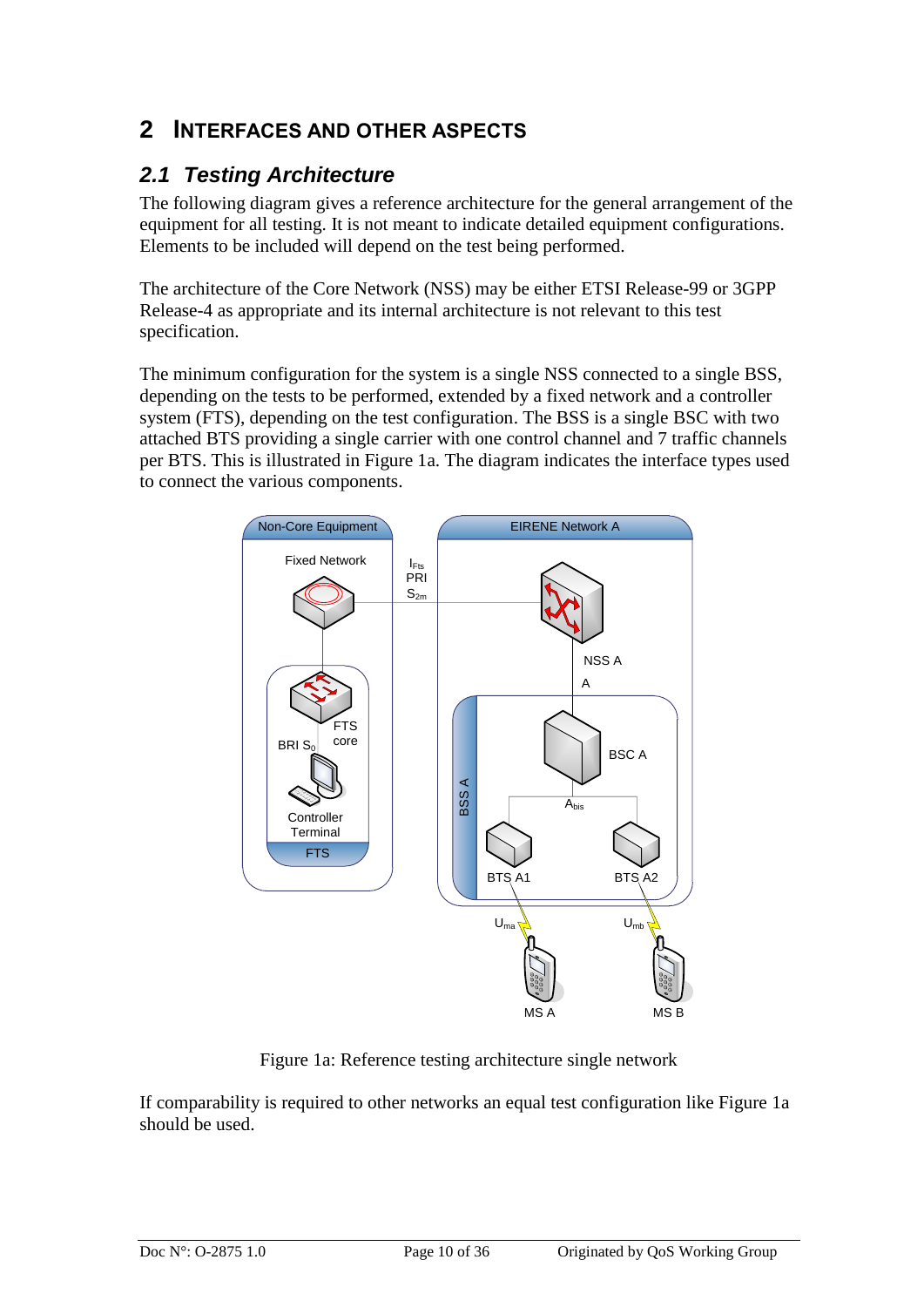## <span id="page-9-0"></span>**2 INTERFACES AND OTHER ASPECTS**

## <span id="page-9-1"></span>*2.1 Testing Architecture*

The following diagram gives a reference architecture for the general arrangement of the equipment for all testing. It is not meant to indicate detailed equipment configurations. Elements to be included will depend on the test being performed.

The architecture of the Core Network (NSS) may be either ETSI Release-99 or 3GPP Release-4 as appropriate and its internal architecture is not relevant to this test specification.

The minimum configuration for the system is a single NSS connected to a single BSS, depending on the tests to be performed, extended by a fixed network and a controller system (FTS), depending on the test configuration. The BSS is a single BSC with two attached BTS providing a single carrier with one control channel and 7 traffic channels per BTS. This is illustrated in Figure 1a. The diagram indicates the interface types used to connect the various components.



Figure 1a: Reference testing architecture single network

If comparability is required to other networks an equal test configuration like Figure 1a should be used.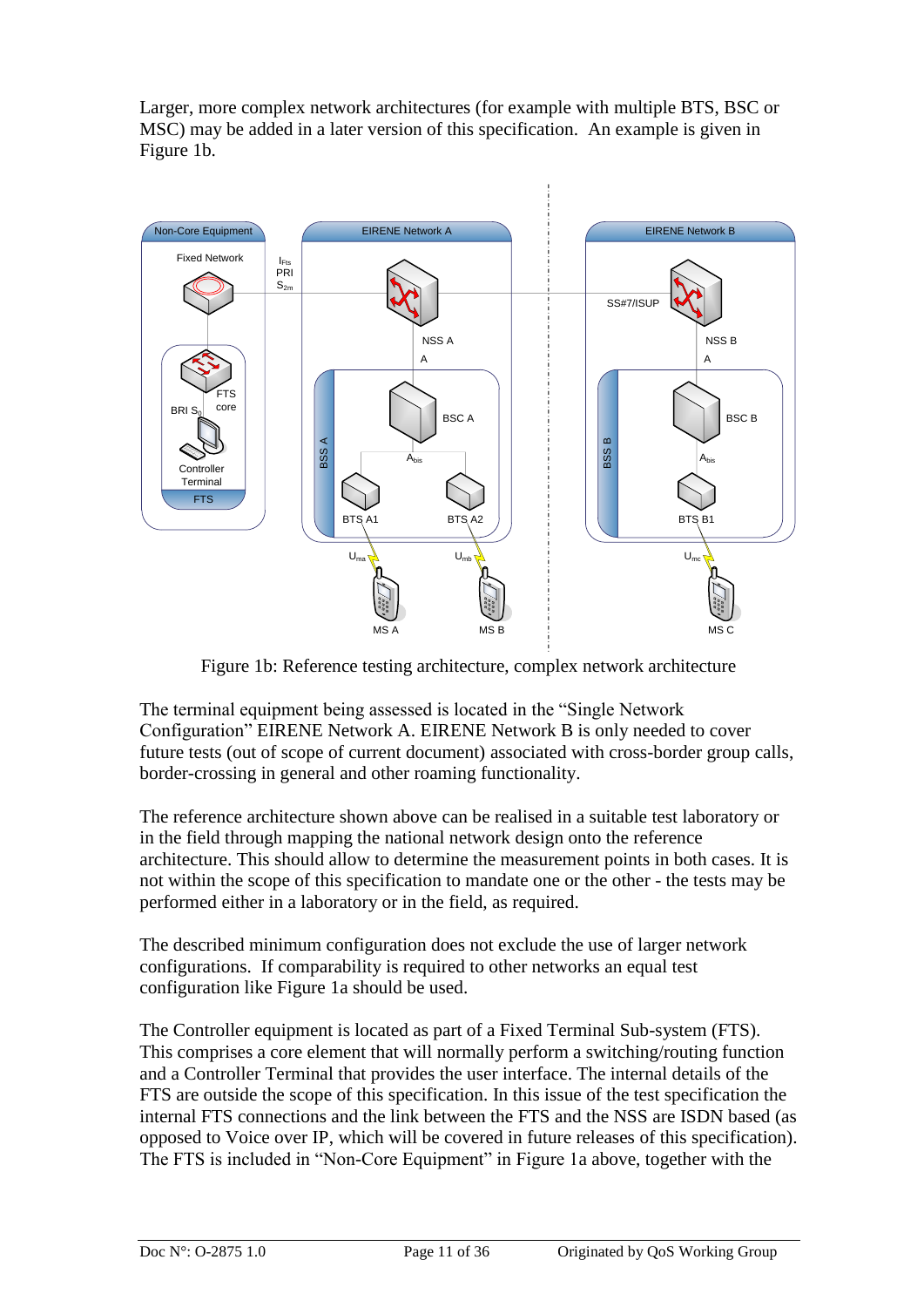Larger, more complex network architectures (for example with multiple BTS, BSC or MSC) may be added in a later version of this specification. An example is given in Figure 1b.



Figure 1b: Reference testing architecture, complex network architecture

The terminal equipment being assessed is located in the "Single Network Configuration" EIRENE Network A. EIRENE Network B is only needed to cover future tests (out of scope of current document) associated with cross-border group calls, border-crossing in general and other roaming functionality.

The reference architecture shown above can be realised in a suitable test laboratory or in the field through mapping the national network design onto the reference architecture. This should allow to determine the measurement points in both cases. It is not within the scope of this specification to mandate one or the other - the tests may be performed either in a laboratory or in the field, as required.

The described minimum configuration does not exclude the use of larger network configurations. If comparability is required to other networks an equal test configuration like Figure 1a should be used.

The Controller equipment is located as part of a Fixed Terminal Sub-system (FTS). This comprises a core element that will normally perform a switching/routing function and a Controller Terminal that provides the user interface. The internal details of the FTS are outside the scope of this specification. In this issue of the test specification the internal FTS connections and the link between the FTS and the NSS are ISDN based (as opposed to Voice over IP, which will be covered in future releases of this specification). The FTS is included in "Non-Core Equipment" in Figure 1a above, together with the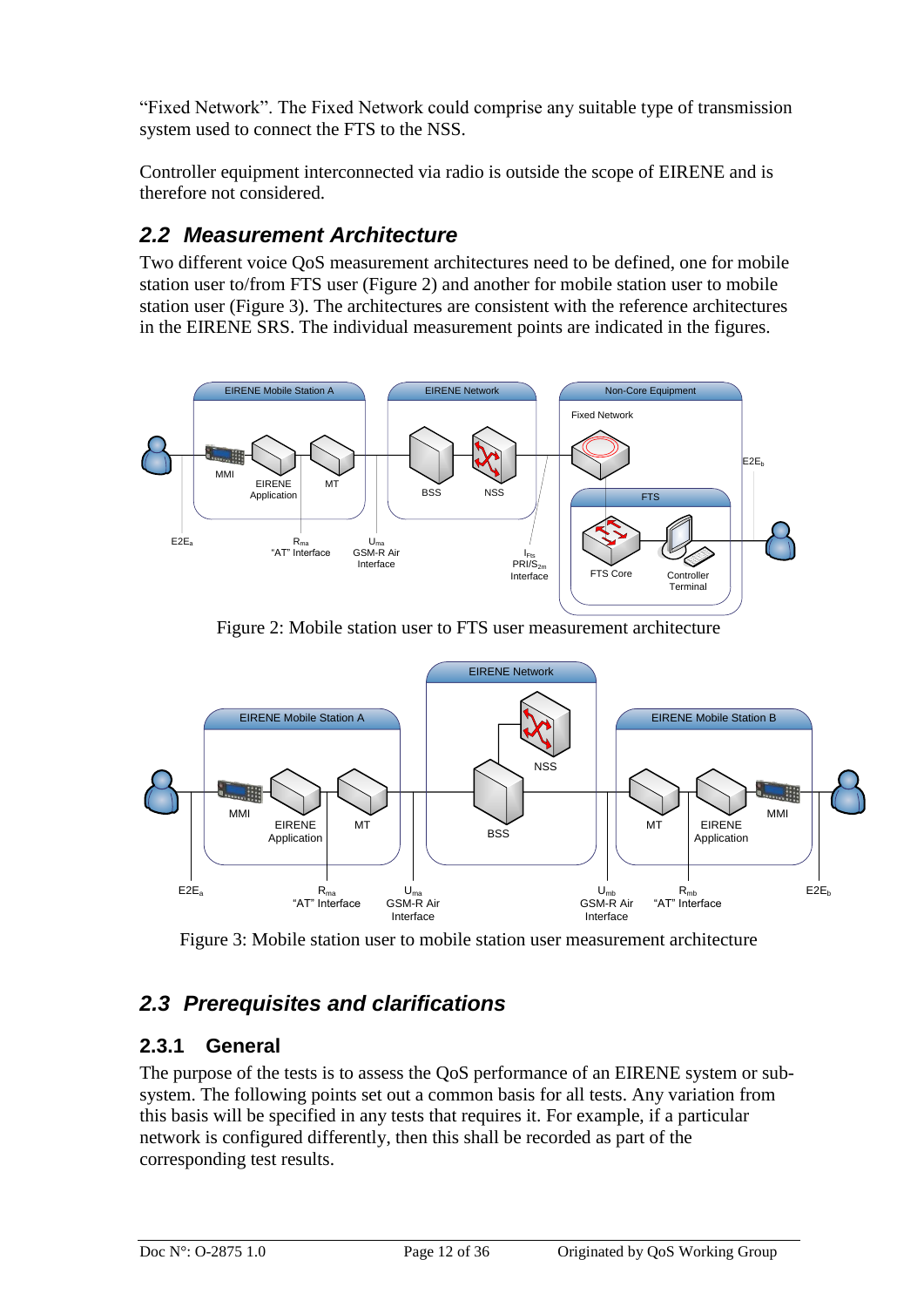"Fixed Network". The Fixed Network could comprise any suitable type of transmission system used to connect the FTS to the NSS.

Controller equipment interconnected via radio is outside the scope of EIRENE and is therefore not considered.

## <span id="page-11-0"></span>*2.2 Measurement Architecture*

Two different voice QoS measurement architectures need to be defined, one for mobile station user to/from FTS user (Figure 2) and another for mobile station user to mobile station user (Figure 3). The architectures are consistent with the reference architectures in the EIRENE SRS. The individual measurement points are indicated in the figures.



Figure 2: Mobile station user to FTS user measurement architecture



Figure 3: Mobile station user to mobile station user measurement architecture

## <span id="page-11-1"></span>*2.3 Prerequisites and clarifications*

## <span id="page-11-2"></span>**2.3.1 General**

The purpose of the tests is to assess the QoS performance of an EIRENE system or subsystem. The following points set out a common basis for all tests. Any variation from this basis will be specified in any tests that requires it. For example, if a particular network is configured differently, then this shall be recorded as part of the corresponding test results.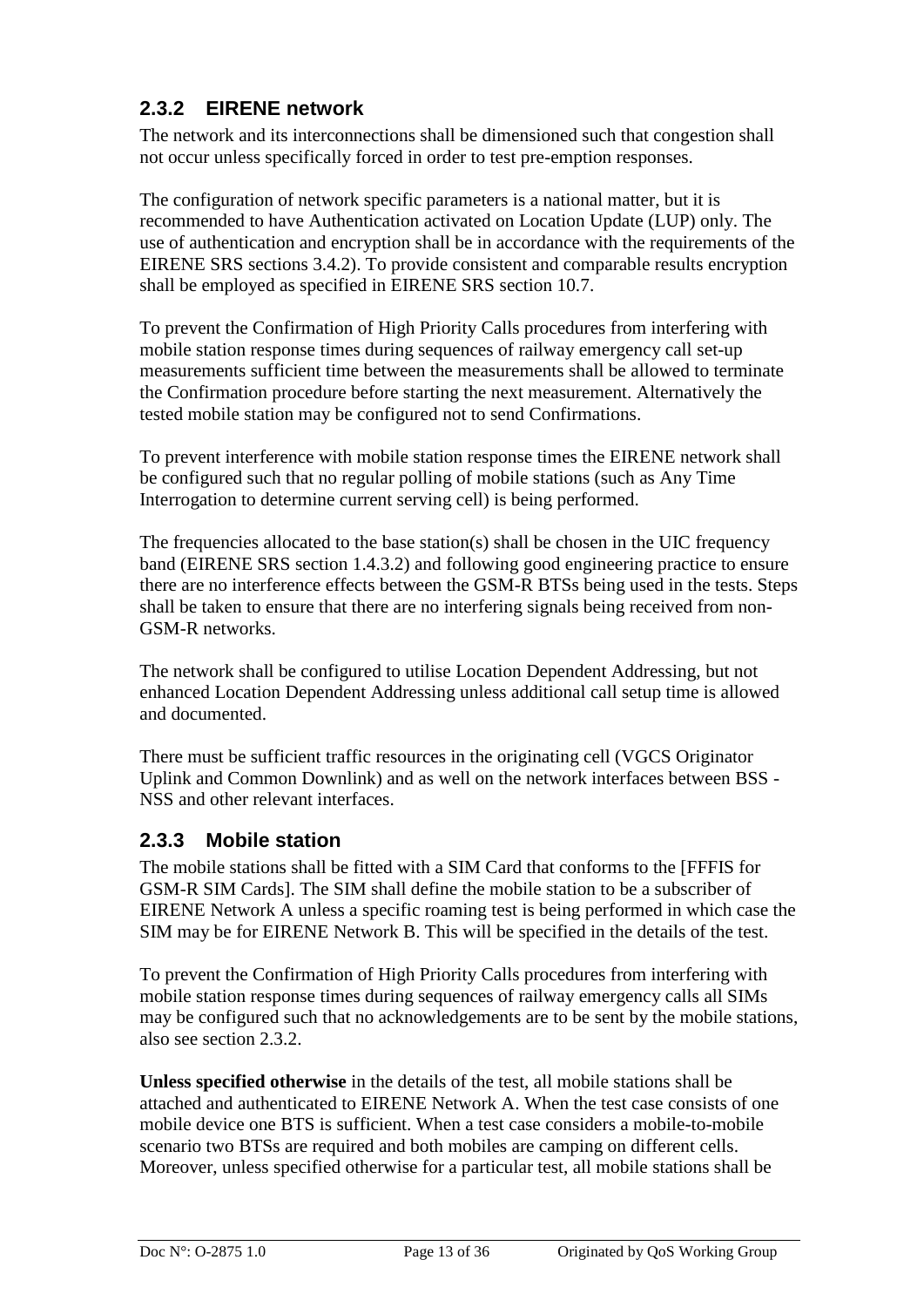## <span id="page-12-0"></span>**2.3.2 EIRENE network**

The network and its interconnections shall be dimensioned such that congestion shall not occur unless specifically forced in order to test pre-emption responses.

The configuration of network specific parameters is a national matter, but it is recommended to have Authentication activated on Location Update (LUP) only. The use of authentication and encryption shall be in accordance with the requirements of the EIRENE SRS sections 3.4.2). To provide consistent and comparable results encryption shall be employed as specified in EIRENE SRS section 10.7.

To prevent the Confirmation of High Priority Calls procedures from interfering with mobile station response times during sequences of railway emergency call set-up measurements sufficient time between the measurements shall be allowed to terminate the Confirmation procedure before starting the next measurement. Alternatively the tested mobile station may be configured not to send Confirmations.

To prevent interference with mobile station response times the EIRENE network shall be configured such that no regular polling of mobile stations (such as Any Time Interrogation to determine current serving cell) is being performed.

The frequencies allocated to the base station(s) shall be chosen in the UIC frequency band (EIRENE SRS section 1.4.3.2) and following good engineering practice to ensure there are no interference effects between the GSM-R BTSs being used in the tests. Steps shall be taken to ensure that there are no interfering signals being received from non-GSM-R networks.

The network shall be configured to utilise Location Dependent Addressing, but not enhanced Location Dependent Addressing unless additional call setup time is allowed and documented.

There must be sufficient traffic resources in the originating cell (VGCS Originator Uplink and Common Downlink) and as well on the network interfaces between BSS - NSS and other relevant interfaces.

## <span id="page-12-1"></span>**2.3.3 Mobile station**

The mobile stations shall be fitted with a SIM Card that conforms to the [FFFIS for GSM-R SIM Cards]. The SIM shall define the mobile station to be a subscriber of EIRENE Network A unless a specific roaming test is being performed in which case the SIM may be for EIRENE Network B. This will be specified in the details of the test.

To prevent the Confirmation of High Priority Calls procedures from interfering with mobile station response times during sequences of railway emergency calls all SIMs may be configured such that no acknowledgements are to be sent by the mobile stations, also see section 2.3.2.

**Unless specified otherwise** in the details of the test, all mobile stations shall be attached and authenticated to EIRENE Network A. When the test case consists of one mobile device one BTS is sufficient. When a test case considers a mobile-to-mobile scenario two BTSs are required and both mobiles are camping on different cells. Moreover, unless specified otherwise for a particular test, all mobile stations shall be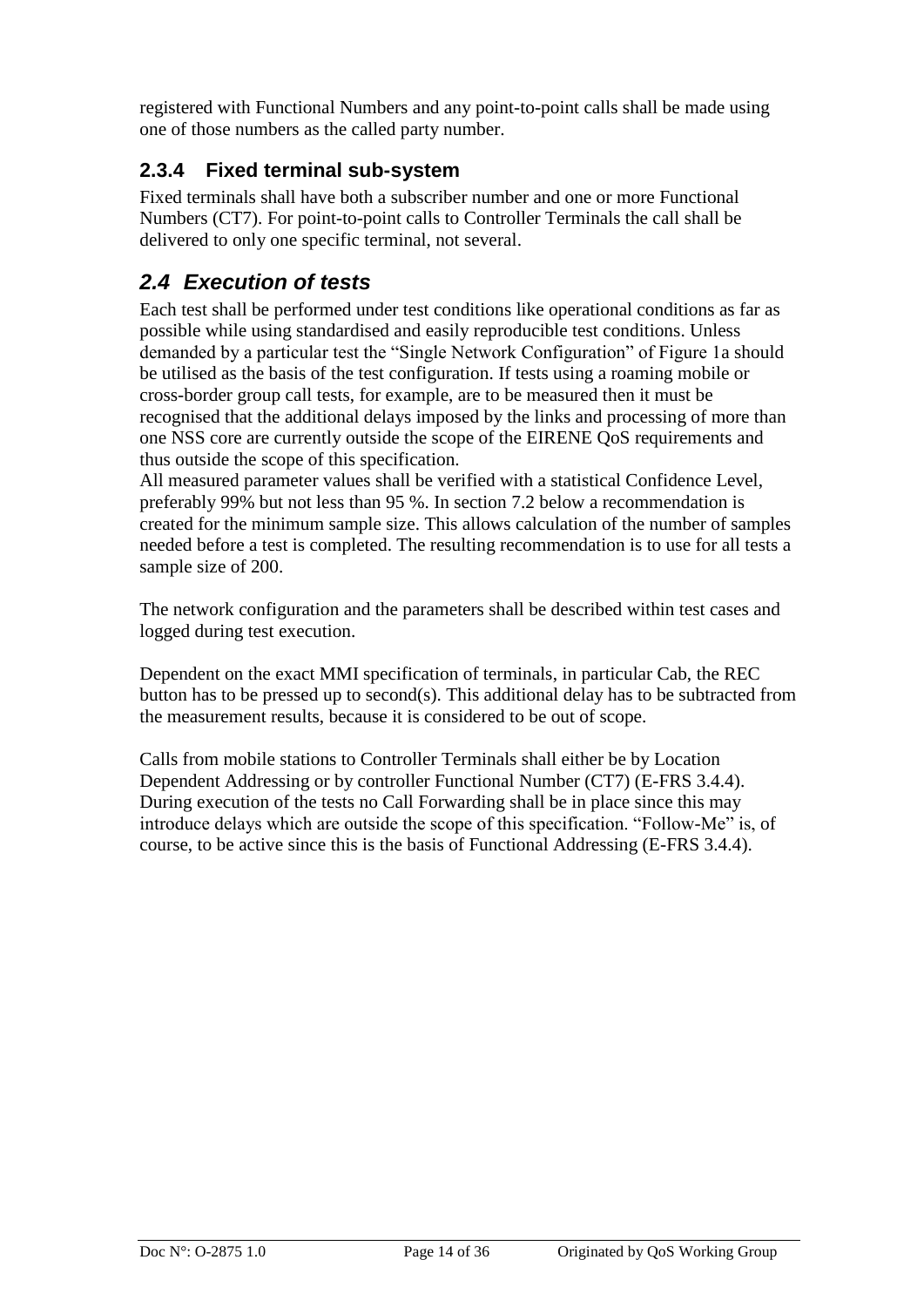registered with Functional Numbers and any point-to-point calls shall be made using one of those numbers as the called party number.

## <span id="page-13-0"></span>**2.3.4 Fixed terminal sub-system**

Fixed terminals shall have both a subscriber number and one or more Functional Numbers (CT7). For point-to-point calls to Controller Terminals the call shall be delivered to only one specific terminal, not several.

## <span id="page-13-1"></span>*2.4 Execution of tests*

Each test shall be performed under test conditions like operational conditions as far as possible while using standardised and easily reproducible test conditions. Unless demanded by a particular test the "Single Network Configuration" of Figure 1a should be utilised as the basis of the test configuration. If tests using a roaming mobile or cross-border group call tests, for example, are to be measured then it must be recognised that the additional delays imposed by the links and processing of more than one NSS core are currently outside the scope of the EIRENE QoS requirements and thus outside the scope of this specification.

All measured parameter values shall be verified with a statistical Confidence Level, preferably 99% but not less than 95 %. In section 7.2 below a recommendation is created for the minimum sample size. This allows calculation of the number of samples needed before a test is completed. The resulting recommendation is to use for all tests a sample size of 200.

The network configuration and the parameters shall be described within test cases and logged during test execution.

Dependent on the exact MMI specification of terminals, in particular Cab, the REC button has to be pressed up to second(s). This additional delay has to be subtracted from the measurement results, because it is considered to be out of scope.

Calls from mobile stations to Controller Terminals shall either be by Location Dependent Addressing or by controller Functional Number (CT7) (E-FRS 3.4.4). During execution of the tests no Call Forwarding shall be in place since this may introduce delays which are outside the scope of this specification. "Follow-Me" is, of course, to be active since this is the basis of Functional Addressing (E-FRS 3.4.4).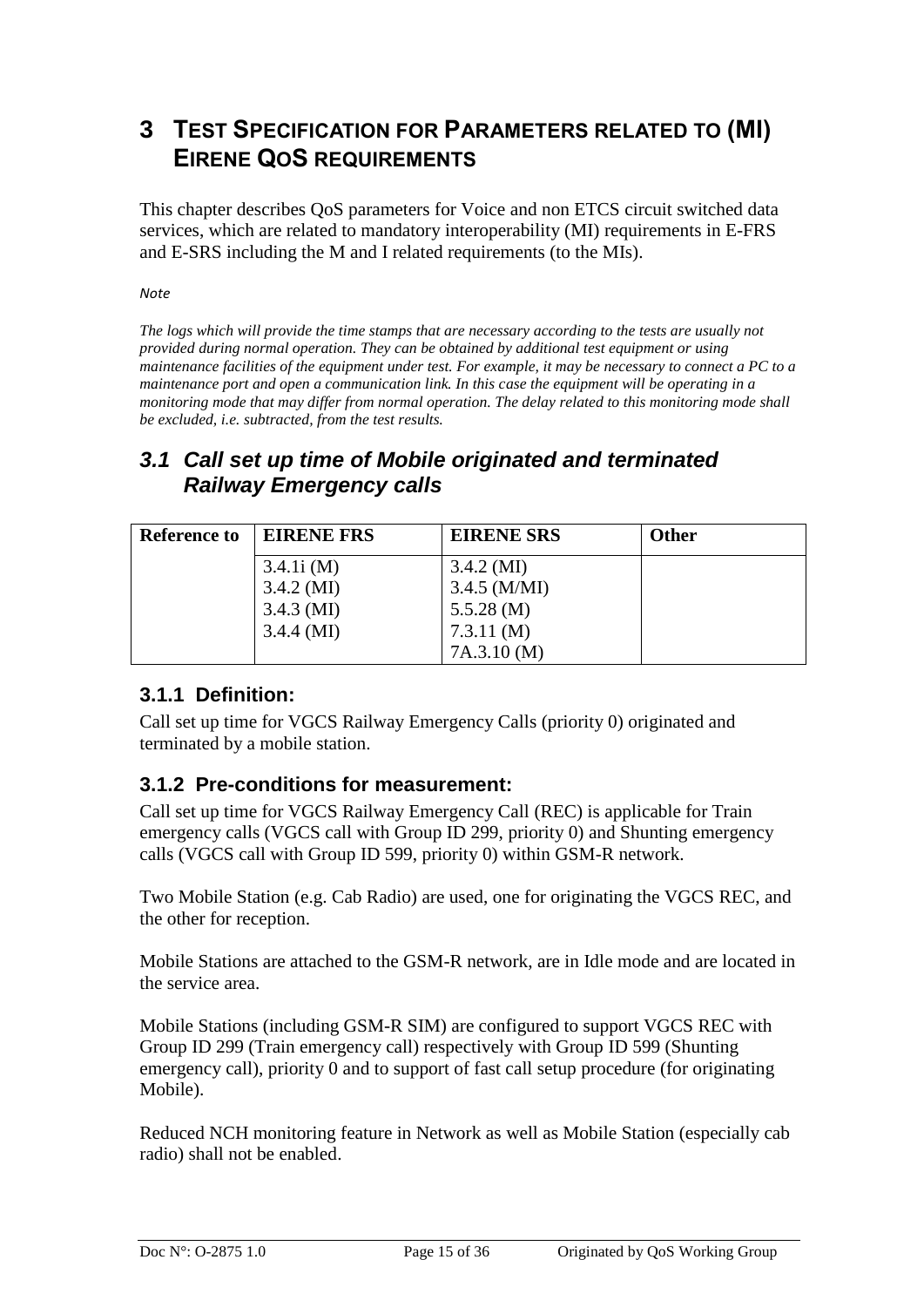## <span id="page-14-0"></span>**3 TEST SPECIFICATION FOR PARAMETERS RELATED TO (MI) EIRENE QOS REQUIREMENTS**

This chapter describes QoS parameters for Voice and non ETCS circuit switched data services, which are related to mandatory interoperability (MI) requirements in E-FRS and E-SRS including the M and I related requirements (to the MIs).

*Note*

*The logs which will provide the time stamps that are necessary according to the tests are usually not provided during normal operation. They can be obtained by additional test equipment or using maintenance facilities of the equipment under test. For example, it may be necessary to connect a PC to a maintenance port and open a communication link. In this case the equipment will be operating in a monitoring mode that may differ from normal operation. The delay related to this monitoring mode shall be excluded, i.e. subtracted, from the test results.*

## <span id="page-14-1"></span>*3.1 Call set up time of Mobile originated and terminated Railway Emergency calls*

| <b>Reference to</b> | <b>EIRENE FRS</b> | <b>EIRENE SRS</b>    | <b>Other</b> |
|---------------------|-------------------|----------------------|--------------|
|                     | 3.4.1i(M)         | $3.4.2 \text{ (MI)}$ |              |
|                     | $3.4.2 \,(M)$     | $3.4.5$ (M/MI)       |              |
|                     | $3.4.3 \,(M)$     | 5.5.28(M)            |              |
|                     | $3.4.4 \, (MI)$   | 7.3.11(M)            |              |
|                     |                   | 7A.3.10(M)           |              |

## <span id="page-14-2"></span>**3.1.1 Definition:**

Call set up time for VGCS Railway Emergency Calls (priority 0) originated and terminated by a mobile station.

## <span id="page-14-3"></span>**3.1.2 Pre-conditions for measurement:**

Call set up time for VGCS Railway Emergency Call (REC) is applicable for Train emergency calls (VGCS call with Group ID 299, priority 0) and Shunting emergency calls (VGCS call with Group ID 599, priority 0) within GSM-R network.

Two Mobile Station (e.g. Cab Radio) are used, one for originating the VGCS REC, and the other for reception.

Mobile Stations are attached to the GSM-R network, are in Idle mode and are located in the service area.

Mobile Stations (including GSM-R SIM) are configured to support VGCS REC with Group ID 299 (Train emergency call) respectively with Group ID 599 (Shunting emergency call), priority 0 and to support of fast call setup procedure (for originating Mobile).

Reduced NCH monitoring feature in Network as well as Mobile Station (especially cab radio) shall not be enabled.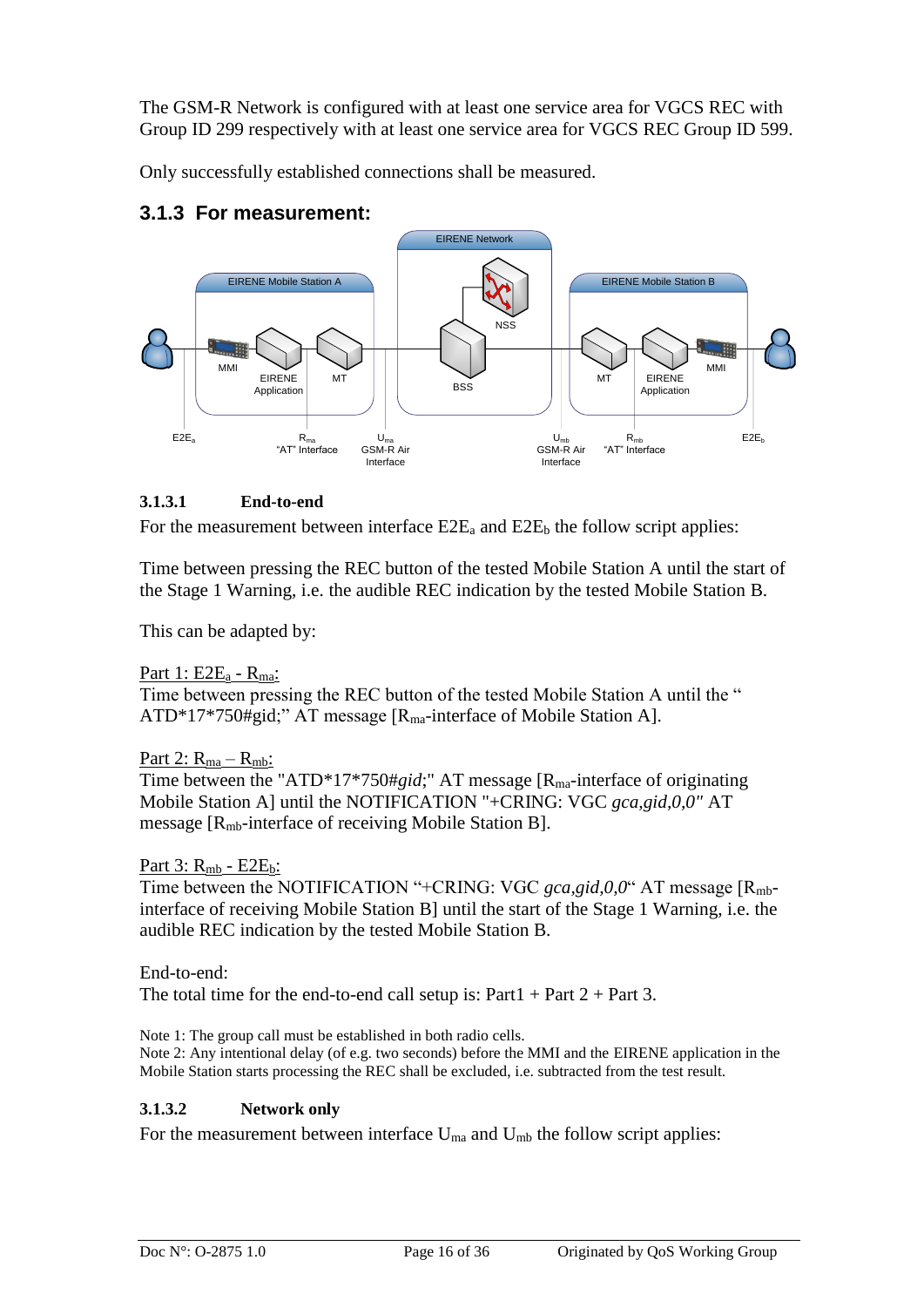The GSM-R Network is configured with at least one service area for VGCS REC with Group ID 299 respectively with at least one service area for VGCS REC Group ID 599.

Only successfully established connections shall be measured.



### <span id="page-15-0"></span>**3.1.3 For measurement:**

#### **3.1.3.1 End-to-end**

For the measurement between interface  $E2E_a$  and  $E2E_b$  the follow script applies:

Time between pressing the REC button of the tested Mobile Station A until the start of the Stage 1 Warning, i.e. the audible REC indication by the tested Mobile Station B.

This can be adapted by:

Part 1:  $E2E_a - R_{ma}$ : Time between pressing the REC button of the tested Mobile Station A until the " ATD\*17\*750#gid;" AT message [R<sub>ma</sub>-interface of Mobile Station A].

Part 2:  $R_{ma} - R_{mb}$ : Time between the "ATD\*17\*750#*gid*;" AT message [R<sub>ma</sub>-interface of originating Mobile Station A] until the NOTIFICATION "+CRING: VGC *gca,gid,0,0"* AT message [Rmb-interface of receiving Mobile Station B].

Part 3: R<sub>mb</sub> - E2E<sub>b</sub>:

Time between the NOTIFICATION "+CRING: VGC *gca,gid,0,0*" AT message [R<sub>mb</sub>interface of receiving Mobile Station B] until the start of the Stage 1 Warning, i.e. the audible REC indication by the tested Mobile Station B.

End-to-end: The total time for the end-to-end call setup is:  $Part1 + Part2 + Part3$ .

Note 1: The group call must be established in both radio cells. Note 2: Any intentional delay (of e.g. two seconds) before the MMI and the EIRENE application in the Mobile Station starts processing the REC shall be excluded, i.e. subtracted from the test result.

#### **3.1.3.2 Network only**

For the measurement between interface  $U_{ma}$  and  $U_{mb}$  the follow script applies: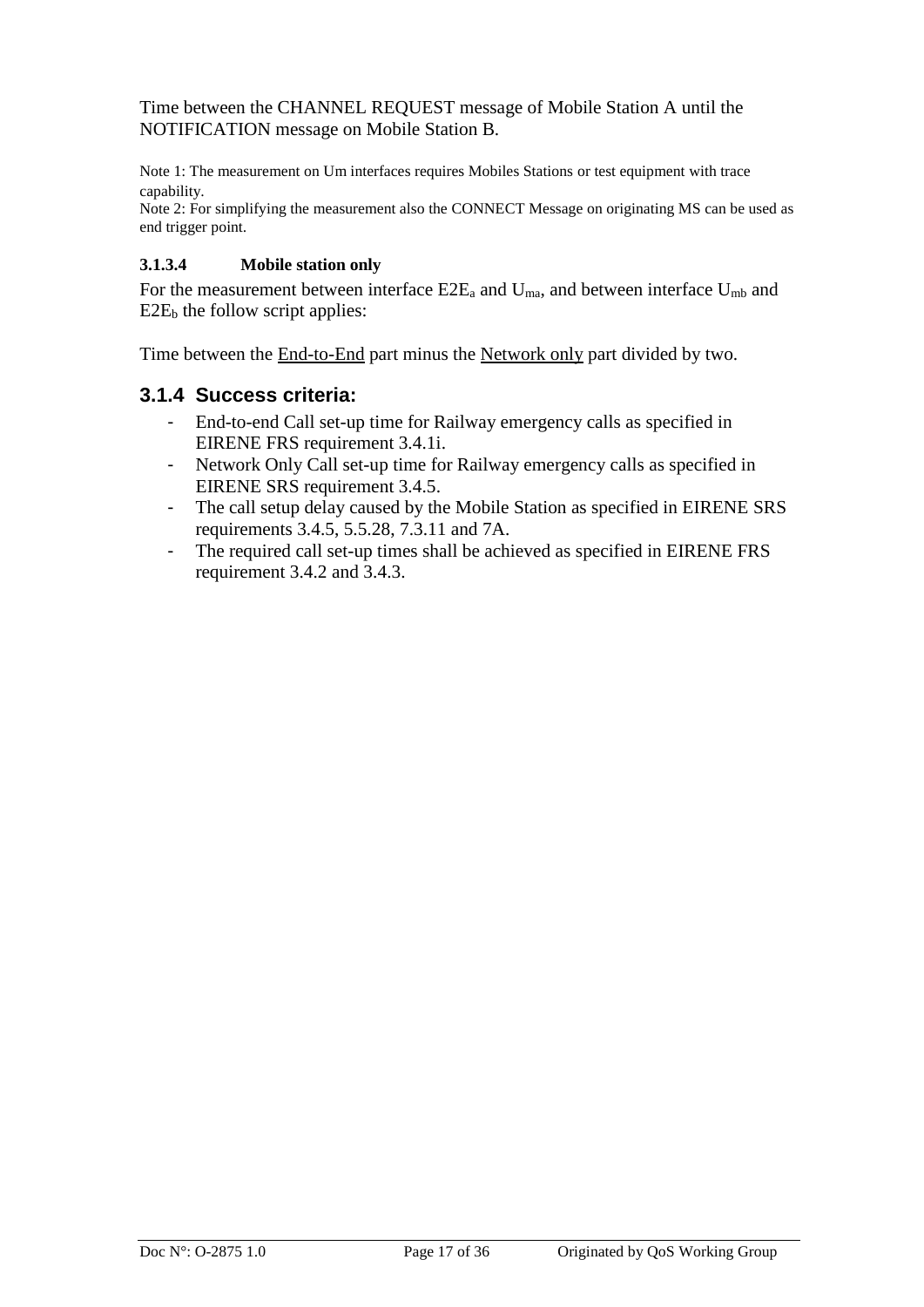Time between the CHANNEL REQUEST message of Mobile Station A until the NOTIFICATION message on Mobile Station B.

Note 1: The measurement on Um interfaces requires Mobiles Stations or test equipment with trace capability.

Note 2: For simplifying the measurement also the CONNECT Message on originating MS can be used as end trigger point.

#### **3.1.3.4 Mobile station only**

For the measurement between interface  $E2E_a$  and  $U_{ma}$ , and between interface  $U_{mb}$  and  $E2E<sub>b</sub>$  the follow script applies:

Time between the End-to-End part minus the Network only part divided by two.

#### <span id="page-16-0"></span>**3.1.4 Success criteria:**

- End-to-end Call set-up time for Railway emergency calls as specified in EIRENE FRS requirement 3.4.1i.
- Network Only Call set-up time for Railway emergency calls as specified in EIRENE SRS requirement 3.4.5.
- The call setup delay caused by the Mobile Station as specified in EIRENE SRS requirements 3.4.5, 5.5.28, 7.3.11 and 7A.
- The required call set-up times shall be achieved as specified in EIRENE FRS requirement 3.4.2 and 3.4.3.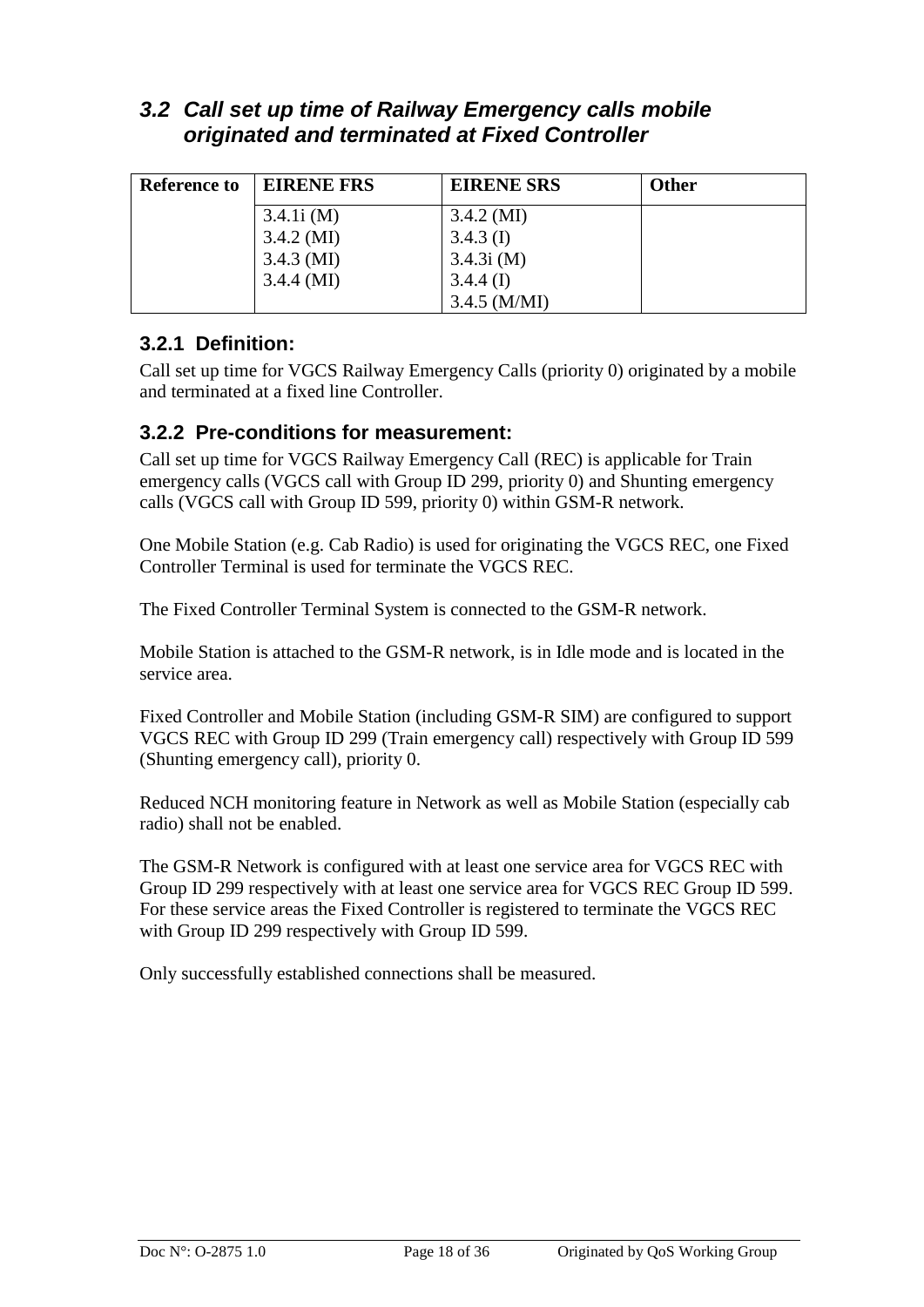## <span id="page-17-0"></span>*3.2 Call set up time of Railway Emergency calls mobile originated and terminated at Fixed Controller*

| <b>Reference to</b> | <b>EIRENE FRS</b> | <b>EIRENE SRS</b> | <b>Other</b> |
|---------------------|-------------------|-------------------|--------------|
|                     | 3.4.1i(M)         | $3.4.2 \,(M)$     |              |
|                     | $3.4.2 \,(M)$     | $3.4.3$ (I)       |              |
|                     | $3.4.3 \,(M)$     | 3.4.3i(M)         |              |
|                     | $3.4.4 \, (MI)$   | $3.4.4$ (I)       |              |
|                     |                   | $3.4.5$ (M/MI)    |              |

## <span id="page-17-1"></span>**3.2.1 Definition:**

Call set up time for VGCS Railway Emergency Calls (priority 0) originated by a mobile and terminated at a fixed line Controller.

### <span id="page-17-2"></span>**3.2.2 Pre-conditions for measurement:**

Call set up time for VGCS Railway Emergency Call (REC) is applicable for Train emergency calls (VGCS call with Group ID 299, priority 0) and Shunting emergency calls (VGCS call with Group ID 599, priority 0) within GSM-R network.

One Mobile Station (e.g. Cab Radio) is used for originating the VGCS REC, one Fixed Controller Terminal is used for terminate the VGCS REC.

The Fixed Controller Terminal System is connected to the GSM-R network.

Mobile Station is attached to the GSM-R network, is in Idle mode and is located in the service area.

Fixed Controller and Mobile Station (including GSM-R SIM) are configured to support VGCS REC with Group ID 299 (Train emergency call) respectively with Group ID 599 (Shunting emergency call), priority 0.

Reduced NCH monitoring feature in Network as well as Mobile Station (especially cab radio) shall not be enabled.

The GSM-R Network is configured with at least one service area for VGCS REC with Group ID 299 respectively with at least one service area for VGCS REC Group ID 599. For these service areas the Fixed Controller is registered to terminate the VGCS REC with Group ID 299 respectively with Group ID 599.

Only successfully established connections shall be measured.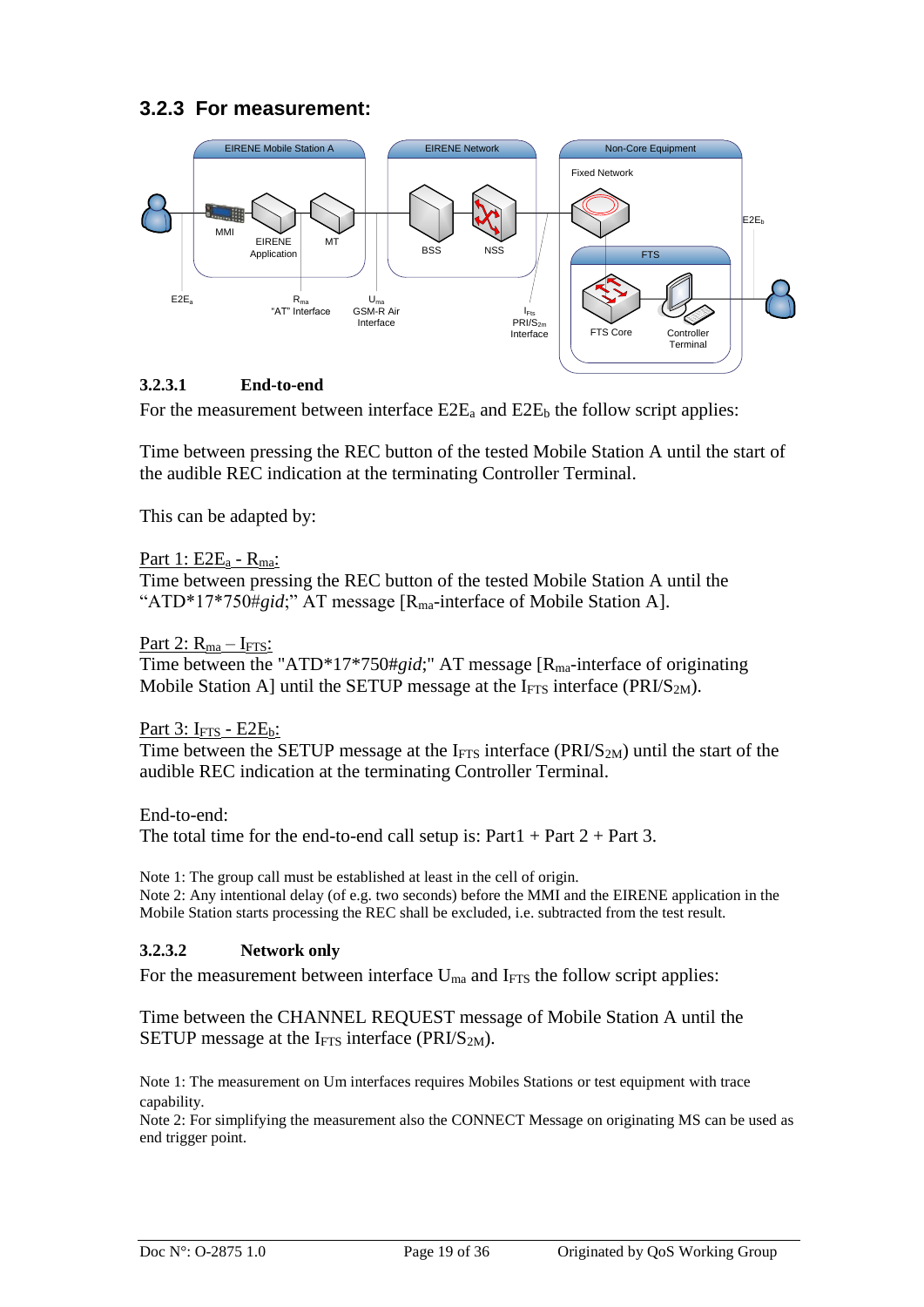## <span id="page-18-0"></span>**3.2.3 For measurement:**



#### **3.2.3.1 End-to-end**

For the measurement between interface  $E2E_a$  and  $E2E_b$  the follow script applies:

Time between pressing the REC button of the tested Mobile Station A until the start of the audible REC indication at the terminating Controller Terminal.

This can be adapted by:

#### Part 1: E2E<sub>a</sub> - R<sub>ma</sub>:

Time between pressing the REC button of the tested Mobile Station A until the "ATD\*17\*750#gid;" AT message [R<sub>ma</sub>-interface of Mobile Station A].

Part 2:  $R_{ma} - I_{FTS}$ :

Time between the "ATD\*17\*750#*gid*;" AT message [R<sub>ma</sub>-interface of originating Mobile Station A] until the SETUP message at the  $I_{FTS}$  interface (PRI/S<sub>2M</sub>).

#### Part  $3: I<sub>FTS</sub> - E2E<sub>b</sub>$ :

Time between the SETUP message at the  $I_{\text{FTS}}$  interface (PRI/S<sub>2M</sub>) until the start of the audible REC indication at the terminating Controller Terminal.

End-to-end: The total time for the end-to-end call setup is:  $Part1 + Part2 + Part3$ .

Note 1: The group call must be established at least in the cell of origin. Note 2: Any intentional delay (of e.g. two seconds) before the MMI and the EIRENE application in the Mobile Station starts processing the REC shall be excluded, i.e. subtracted from the test result.

#### **3.2.3.2 Network only**

For the measurement between interface  $U_{ma}$  and I<sub>FTS</sub> the follow script applies:

Time between the CHANNEL REQUEST message of Mobile Station A until the SETUP message at the  $I_{\text{FTS}}$  interface (PRI/S<sub>2M</sub>).

Note 1: The measurement on Um interfaces requires Mobiles Stations or test equipment with trace capability.

Note 2: For simplifying the measurement also the CONNECT Message on originating MS can be used as end trigger point.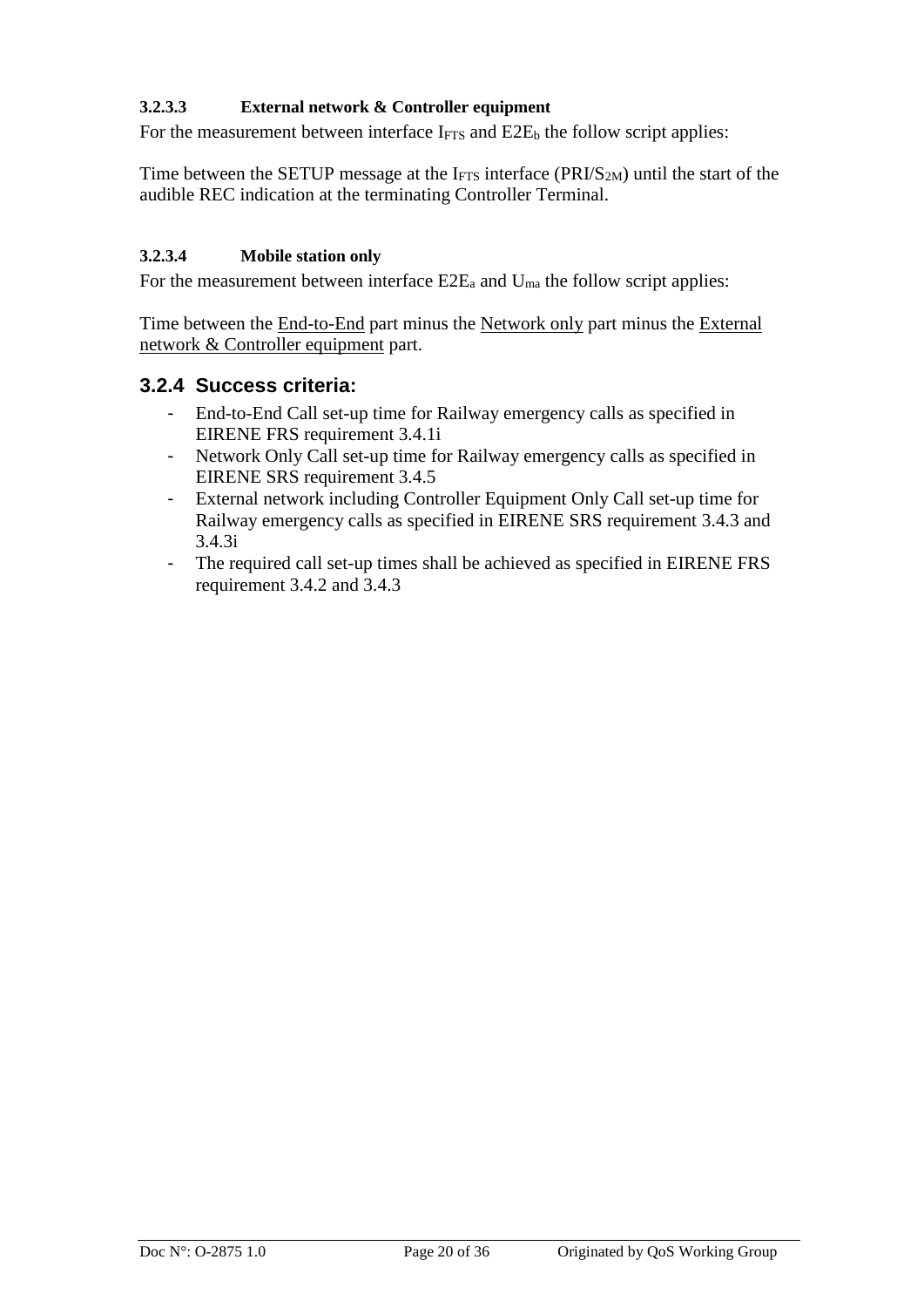#### **3.2.3.3 External network & Controller equipment**

For the measurement between interface  $I_{FTS}$  and  $E2E_b$  the follow script applies:

Time between the SETUP message at the I $_{\text{FTS}}$  interface (PRI/S<sub>2M</sub>) until the start of the audible REC indication at the terminating Controller Terminal.

#### **3.2.3.4 Mobile station only**

For the measurement between interface  $E2E_a$  and  $U_{ma}$  the follow script applies:

Time between the End-to-End part minus the Network only part minus the External network & Controller equipment part.

#### <span id="page-19-0"></span>**3.2.4 Success criteria:**

- End-to-End Call set-up time for Railway emergency calls as specified in EIRENE FRS requirement 3.4.1i
- Network Only Call set-up time for Railway emergency calls as specified in EIRENE SRS requirement 3.4.5
- External network including Controller Equipment Only Call set-up time for Railway emergency calls as specified in EIRENE SRS requirement 3.4.3 and 3.4.3i
- The required call set-up times shall be achieved as specified in EIRENE FRS requirement 3.4.2 and 3.4.3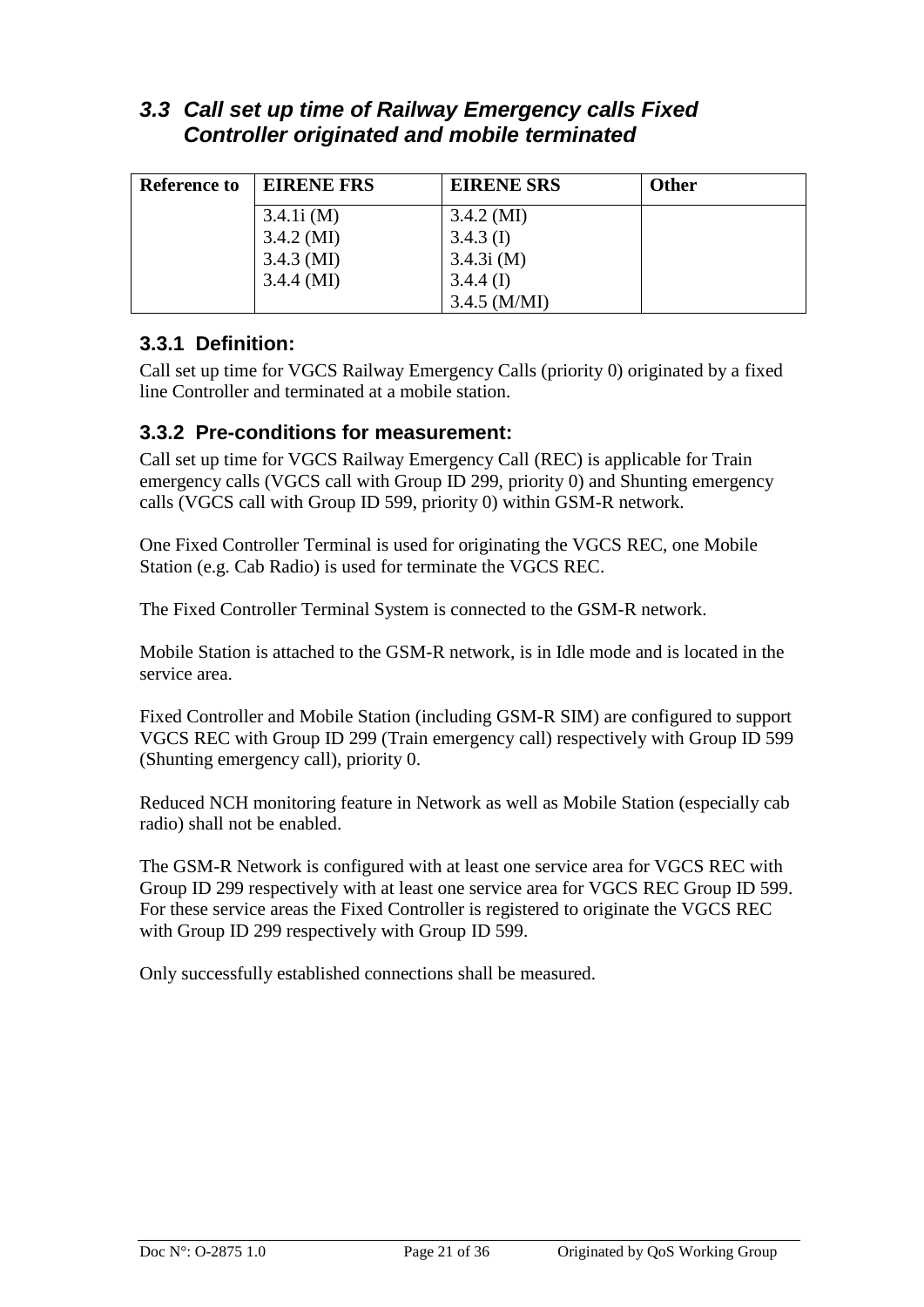## <span id="page-20-0"></span>*3.3 Call set up time of Railway Emergency calls Fixed Controller originated and mobile terminated*

| <b>Reference to</b> | <b>EIRENE FRS</b> | <b>EIRENE SRS</b> | <b>Other</b> |
|---------------------|-------------------|-------------------|--------------|
|                     | 3.4.1i(M)         | $3.4.2 \,(M)$     |              |
|                     | $3.4.2 \,(M)$     | $3.4.3$ (I)       |              |
|                     | $3.4.3 \,(M)$     | 3.4.3i(M)         |              |
|                     | $3.4.4 \, (MI)$   | $3.4.4$ (I)       |              |
|                     |                   | $3.4.5$ (M/MI)    |              |

### <span id="page-20-1"></span>**3.3.1 Definition:**

Call set up time for VGCS Railway Emergency Calls (priority 0) originated by a fixed line Controller and terminated at a mobile station.

#### <span id="page-20-2"></span>**3.3.2 Pre-conditions for measurement:**

Call set up time for VGCS Railway Emergency Call (REC) is applicable for Train emergency calls (VGCS call with Group ID 299, priority 0) and Shunting emergency calls (VGCS call with Group ID 599, priority 0) within GSM-R network.

One Fixed Controller Terminal is used for originating the VGCS REC, one Mobile Station (e.g. Cab Radio) is used for terminate the VGCS REC.

The Fixed Controller Terminal System is connected to the GSM-R network.

Mobile Station is attached to the GSM-R network, is in Idle mode and is located in the service area.

Fixed Controller and Mobile Station (including GSM-R SIM) are configured to support VGCS REC with Group ID 299 (Train emergency call) respectively with Group ID 599 (Shunting emergency call), priority 0.

Reduced NCH monitoring feature in Network as well as Mobile Station (especially cab radio) shall not be enabled.

The GSM-R Network is configured with at least one service area for VGCS REC with Group ID 299 respectively with at least one service area for VGCS REC Group ID 599. For these service areas the Fixed Controller is registered to originate the VGCS REC with Group ID 299 respectively with Group ID 599.

Only successfully established connections shall be measured.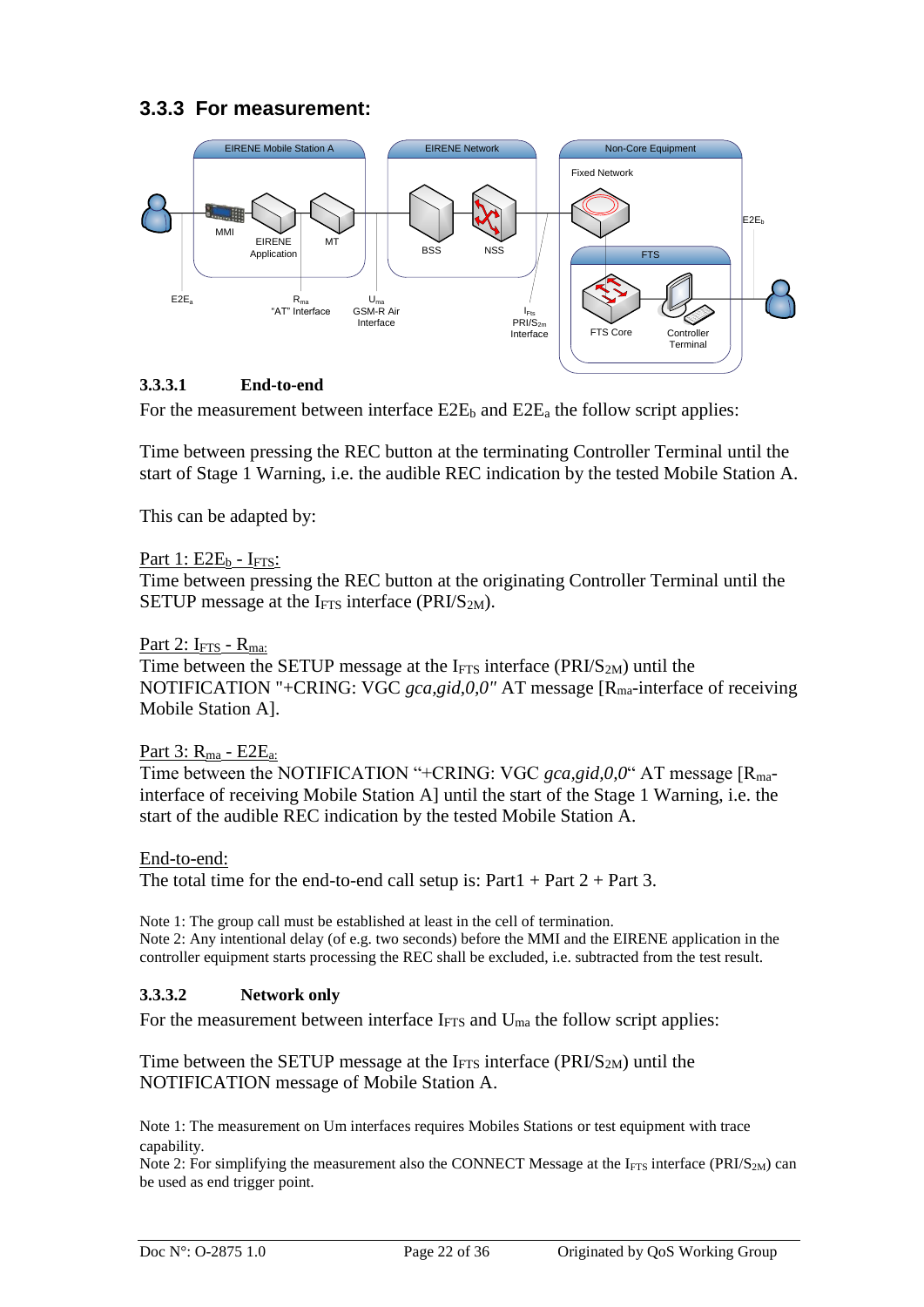## <span id="page-21-0"></span>**3.3.3 For measurement:**



#### **3.3.3.1 End-to-end**

For the measurement between interface  $E2E_b$  and  $E2E_a$  the follow script applies:

Time between pressing the REC button at the terminating Controller Terminal until the start of Stage 1 Warning, i.e. the audible REC indication by the tested Mobile Station A.

This can be adapted by:

#### Part  $1: E2E_b - I_{FTS}$ :

Time between pressing the REC button at the originating Controller Terminal until the SETUP message at the I<sub>FTS</sub> interface (PRI/S<sub>2M</sub>).

#### Part 2:  $I_{FTS}$  -  $R_{ma}$ :

Time between the SETUP message at the  $I<sub>FTS</sub>$  interface (PRI/S<sub>2M</sub>) until the NOTIFICATION "+CRING: VGC *gca,gid,0,0"* AT message [R<sub>ma</sub>-interface of receiving Mobile Station A].

#### Part  $3: R<sub>ma</sub> - E2E<sub>a</sub>$ :

Time between the NOTIFICATION "+CRING: VGC *gca,gid,0,0*" AT message [R<sub>ma</sub>interface of receiving Mobile Station A] until the start of the Stage 1 Warning, i.e. the start of the audible REC indication by the tested Mobile Station A.

#### End-to-end:

The total time for the end-to-end call setup is:  $Part1 + Part2 + Part3$ .

Note 1: The group call must be established at least in the cell of termination. Note 2: Any intentional delay (of e.g. two seconds) before the MMI and the EIRENE application in the controller equipment starts processing the REC shall be excluded, i.e. subtracted from the test result.

#### **3.3.3.2 Network only**

For the measurement between interface  $I_{\text{FTS}}$  and  $U_{\text{ma}}$  the follow script applies:

Time between the SETUP message at the  $I<sub>FTS</sub>$  interface (PRI/S<sub>2M</sub>) until the NOTIFICATION message of Mobile Station A.

Note 1: The measurement on Um interfaces requires Mobiles Stations or test equipment with trace capability.

Note 2: For simplifying the measurement also the CONNECT Message at the  $I<sub>FTS</sub>$  interface (PRI/S<sub>2M</sub>) can be used as end trigger point.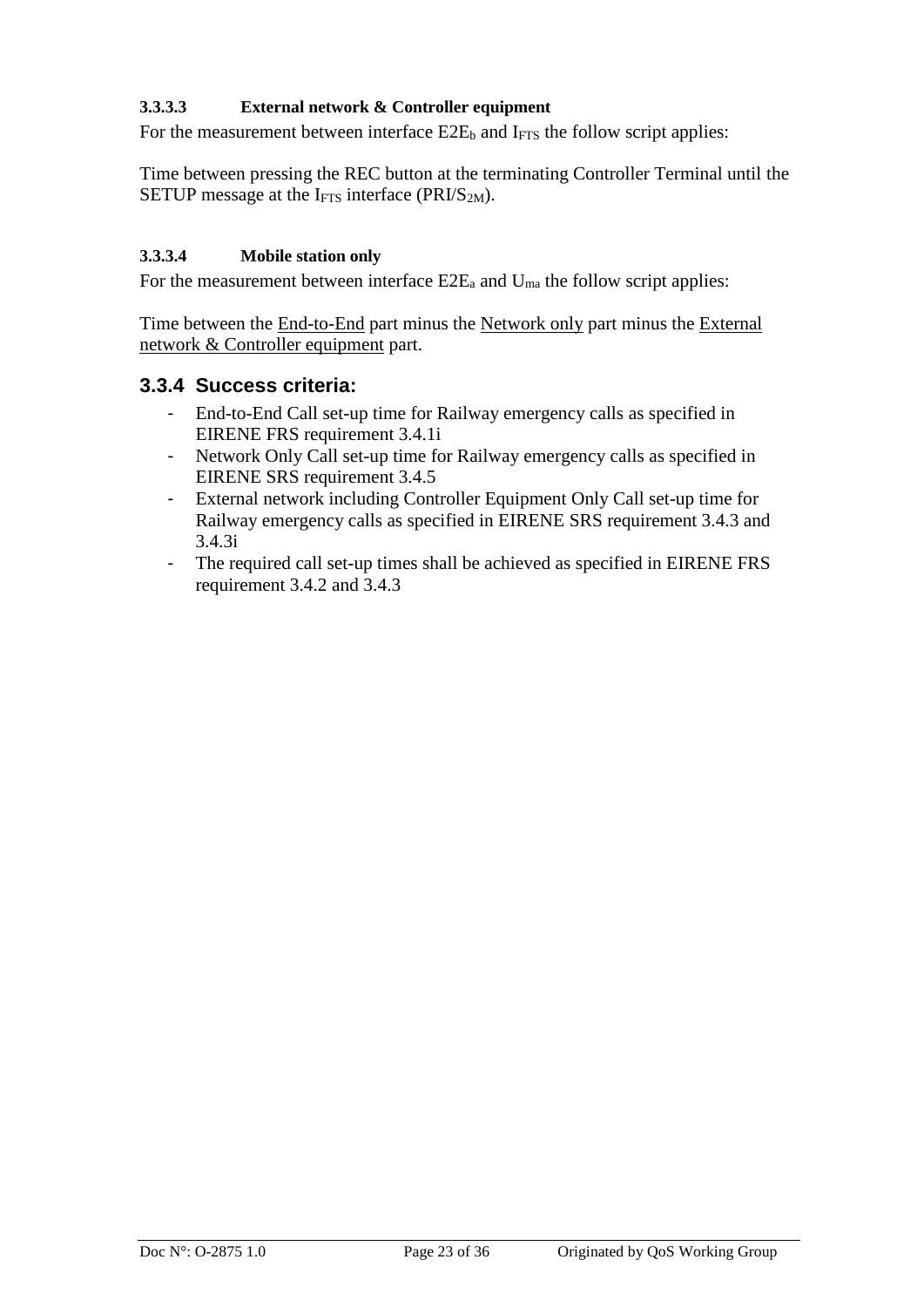#### **3.3.3.3 External network & Controller equipment**

For the measurement between interface  $E2E_b$  and  $I_{FTS}$  the follow script applies:

Time between pressing the REC button at the terminating Controller Terminal until the SETUP message at the  $I_{\text{FTS}}$  interface (PRI/S<sub>2M</sub>).

#### **3.3.3.4 Mobile station only**

For the measurement between interface  $E2E_a$  and  $U_{ma}$  the follow script applies:

Time between the End-to-End part minus the Network only part minus the External network & Controller equipment part.

#### <span id="page-22-0"></span>**3.3.4 Success criteria:**

- End-to-End Call set-up time for Railway emergency calls as specified in EIRENE FRS requirement 3.4.1i
- Network Only Call set-up time for Railway emergency calls as specified in EIRENE SRS requirement 3.4.5
- External network including Controller Equipment Only Call set-up time for Railway emergency calls as specified in EIRENE SRS requirement 3.4.3 and 3.4.3i
- The required call set-up times shall be achieved as specified in EIRENE FRS requirement 3.4.2 and 3.4.3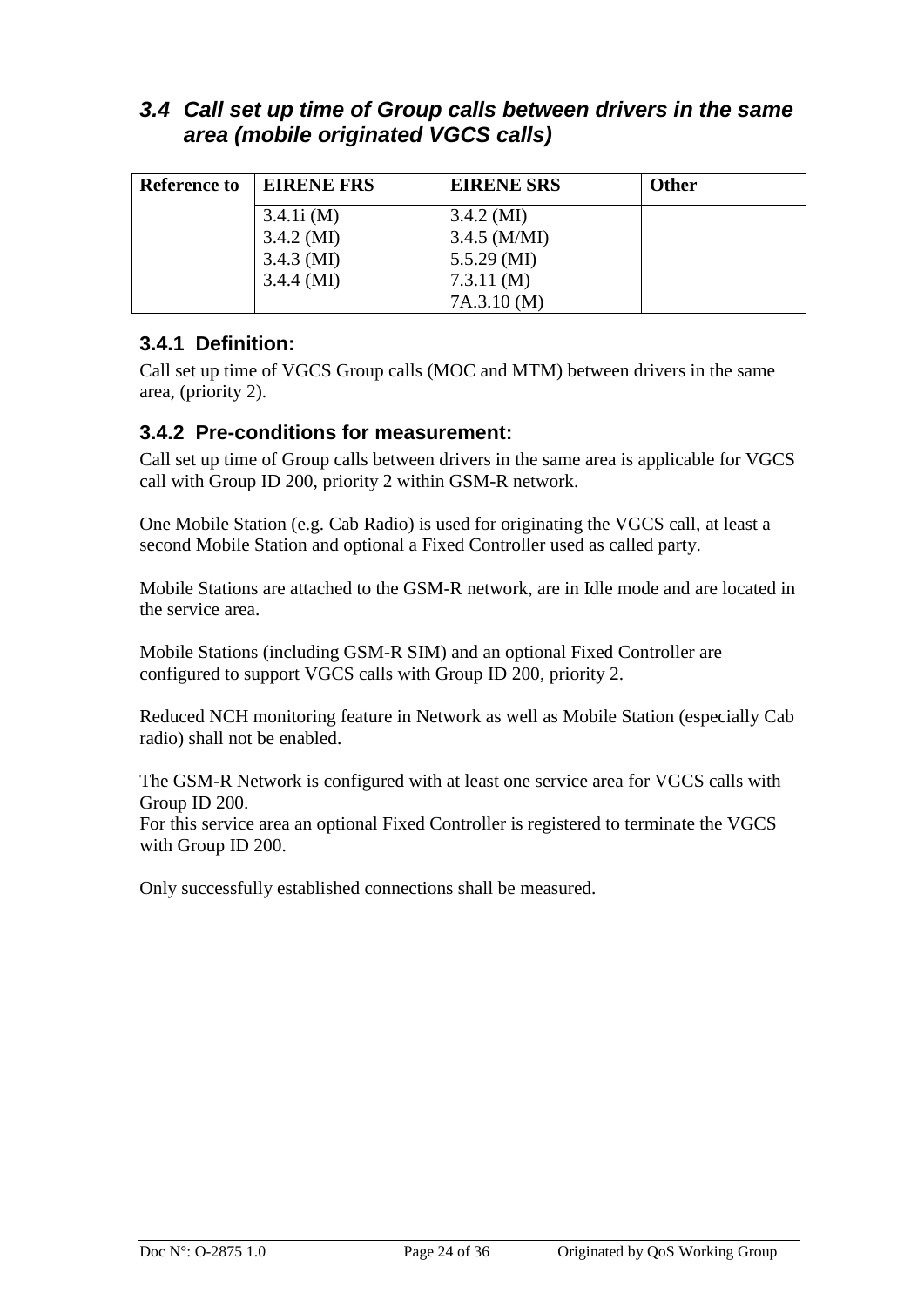## <span id="page-23-0"></span>*3.4 Call set up time of Group calls between drivers in the same area (mobile originated VGCS calls)*

| <b>Reference to</b> | <b>EIRENE FRS</b> | <b>EIRENE SRS</b> | <b>Other</b> |
|---------------------|-------------------|-------------------|--------------|
|                     | 3.4.1i(M)         | $3.4.2 \,(M)$     |              |
|                     | $3.4.2 \,(M)$     | $3.4.5$ (M/MI)    |              |
|                     | $3.4.3 \ (MI)$    | $5.5.29$ (MI)     |              |
|                     | $3.4.4 \, (MI)$   | 7.3.11(M)         |              |
|                     |                   | 7A.3.10(M)        |              |

## <span id="page-23-1"></span>**3.4.1 Definition:**

Call set up time of VGCS Group calls (MOC and MTM) between drivers in the same area, (priority 2).

### <span id="page-23-2"></span>**3.4.2 Pre-conditions for measurement:**

Call set up time of Group calls between drivers in the same area is applicable for VGCS call with Group ID 200, priority 2 within GSM-R network.

One Mobile Station (e.g. Cab Radio) is used for originating the VGCS call, at least a second Mobile Station and optional a Fixed Controller used as called party.

Mobile Stations are attached to the GSM-R network, are in Idle mode and are located in the service area.

Mobile Stations (including GSM-R SIM) and an optional Fixed Controller are configured to support VGCS calls with Group ID 200, priority 2.

Reduced NCH monitoring feature in Network as well as Mobile Station (especially Cab radio) shall not be enabled.

The GSM-R Network is configured with at least one service area for VGCS calls with Group ID 200.

For this service area an optional Fixed Controller is registered to terminate the VGCS with Group ID 200.

Only successfully established connections shall be measured.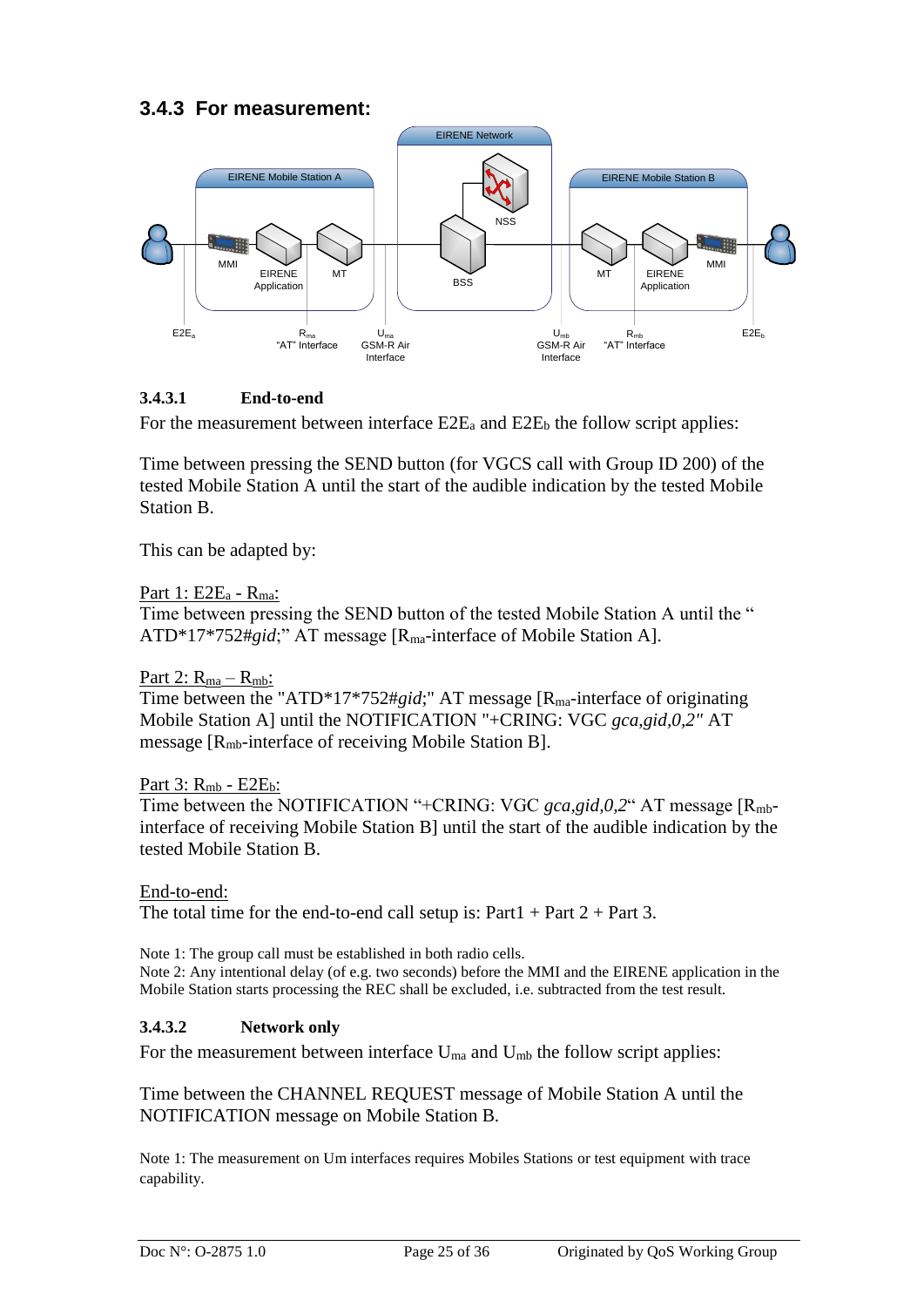### <span id="page-24-0"></span>**3.4.3 For measurement:**



#### **3.4.3.1 End-to-end**

For the measurement between interface  $E2E_a$  and  $E2E_b$  the follow script applies:

Time between pressing the SEND button (for VGCS call with Group ID 200) of the tested Mobile Station A until the start of the audible indication by the tested Mobile Station B.

This can be adapted by:

#### Part 1: E2E<sub>a</sub> - R<sub>ma</sub>:

Time between pressing the SEND button of the tested Mobile Station A until the " ATD\*17\*752#*gid*;" AT message [Rma-interface of Mobile Station A].

#### Part 2:  $R_{ma} - R_{mb}$ :

Time between the "ATD\*17\*752#*gid*;" AT message [R<sub>ma</sub>-interface of originating Mobile Station A] until the NOTIFICATION "+CRING: VGC *gca,gid,0,2"* AT message [Rmb-interface of receiving Mobile Station B].

#### Part  $3: R_{mb}$  -  $E2E_b$ :

Time between the NOTIFICATION "+CRING: VGC *gca,gid,0,2*" AT message [R<sub>mb</sub>interface of receiving Mobile Station B] until the start of the audible indication by the tested Mobile Station B.

End-to-end:

The total time for the end-to-end call setup is:  $Part1 + Part2 + Part3$ .

Note 1: The group call must be established in both radio cells. Note 2: Any intentional delay (of e.g. two seconds) before the MMI and the EIRENE application in the Mobile Station starts processing the REC shall be excluded, i.e. subtracted from the test result.

#### **3.4.3.2 Network only**

For the measurement between interface  $U_{ma}$  and  $U_{mb}$  the follow script applies:

Time between the CHANNEL REQUEST message of Mobile Station A until the NOTIFICATION message on Mobile Station B.

Note 1: The measurement on Um interfaces requires Mobiles Stations or test equipment with trace capability.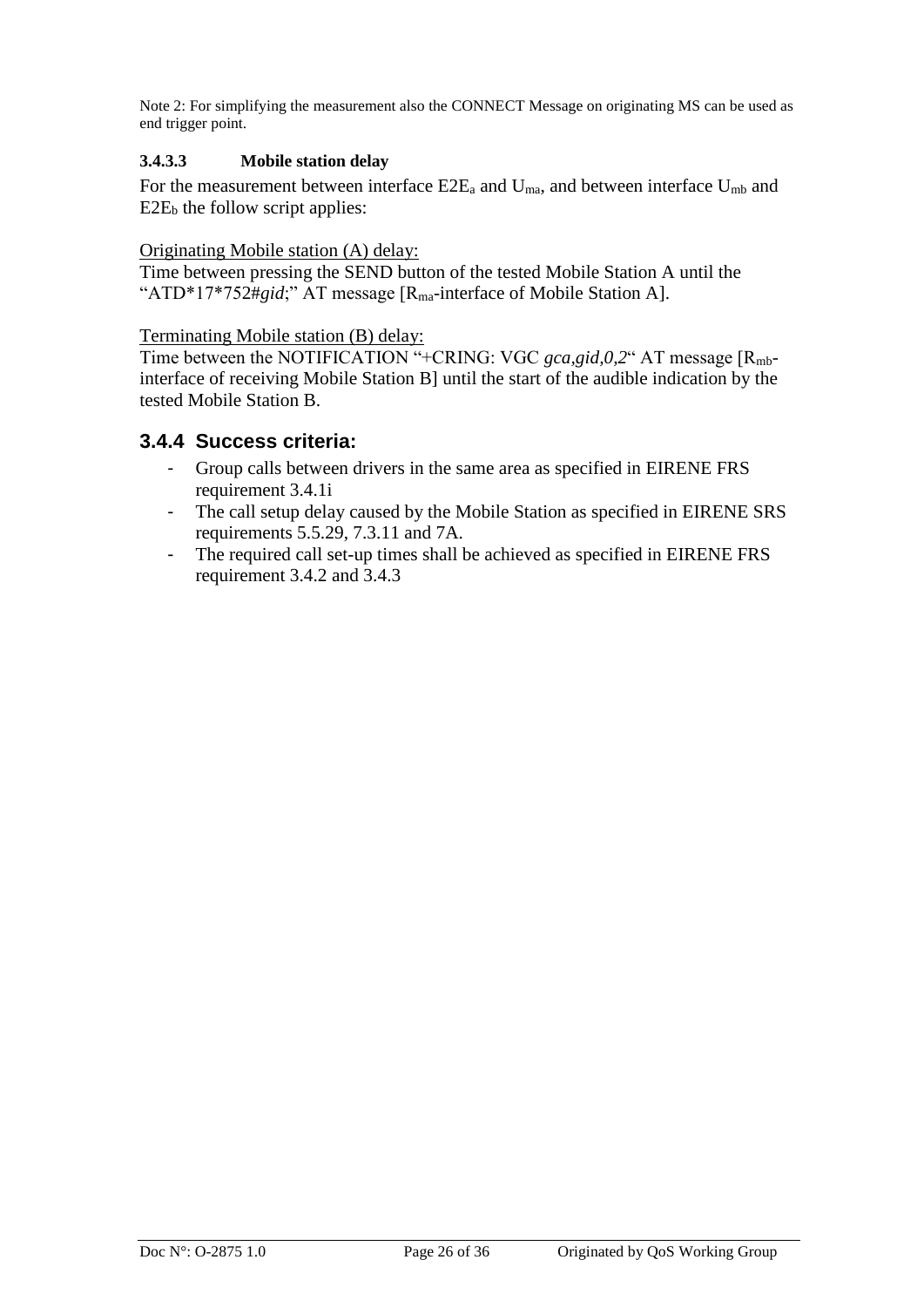Note 2: For simplifying the measurement also the CONNECT Message on originating MS can be used as end trigger point.

#### **3.4.3.3 Mobile station delay**

For the measurement between interface  $E2E_a$  and  $U_{ma}$ , and between interface  $U_{mb}$  and  $E2E<sub>b</sub>$  the follow script applies:

#### Originating Mobile station (A) delay:

Time between pressing the SEND button of the tested Mobile Station A until the "ATD\*17\*752#gid;" AT message [R<sub>ma</sub>-interface of Mobile Station A].

#### Terminating Mobile station (B) delay:

Time between the NOTIFICATION "+CRING: VGC *gca,gid,0,2*" AT message [R<sub>mb</sub>interface of receiving Mobile Station B] until the start of the audible indication by the tested Mobile Station B.

#### <span id="page-25-0"></span>**3.4.4 Success criteria:**

- Group calls between drivers in the same area as specified in EIRENE FRS requirement 3.4.1i
- The call setup delay caused by the Mobile Station as specified in EIRENE SRS requirements 5.5.29, 7.3.11 and 7A.
- The required call set-up times shall be achieved as specified in EIRENE FRS requirement 3.4.2 and 3.4.3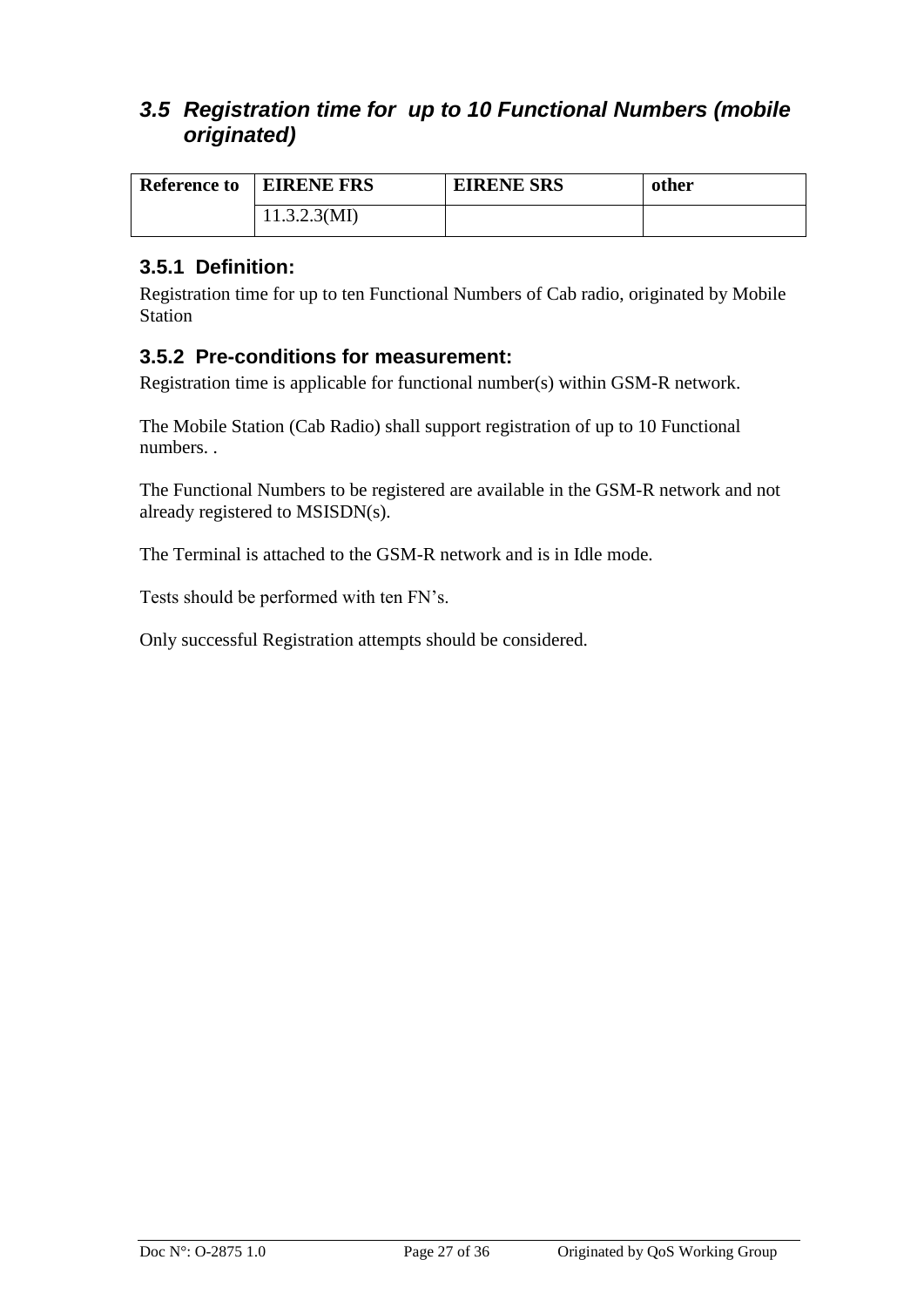## <span id="page-26-0"></span>*3.5 Registration time for up to 10 Functional Numbers (mobile originated)*

| <b>Reference to</b> | <b>EIRENE FRS</b> | <b>EIRENE SRS</b> | other |
|---------------------|-------------------|-------------------|-------|
|                     | 11.3.2.3(MI)      |                   |       |

### <span id="page-26-1"></span>**3.5.1 Definition:**

Registration time for up to ten Functional Numbers of Cab radio, originated by Mobile Station

#### <span id="page-26-2"></span>**3.5.2 Pre-conditions for measurement:**

Registration time is applicable for functional number(s) within GSM-R network.

The Mobile Station (Cab Radio) shall support registration of up to 10 Functional numbers. .

The Functional Numbers to be registered are available in the GSM-R network and not already registered to MSISDN(s).

The Terminal is attached to the GSM-R network and is in Idle mode.

Tests should be performed with ten FN's.

Only successful Registration attempts should be considered.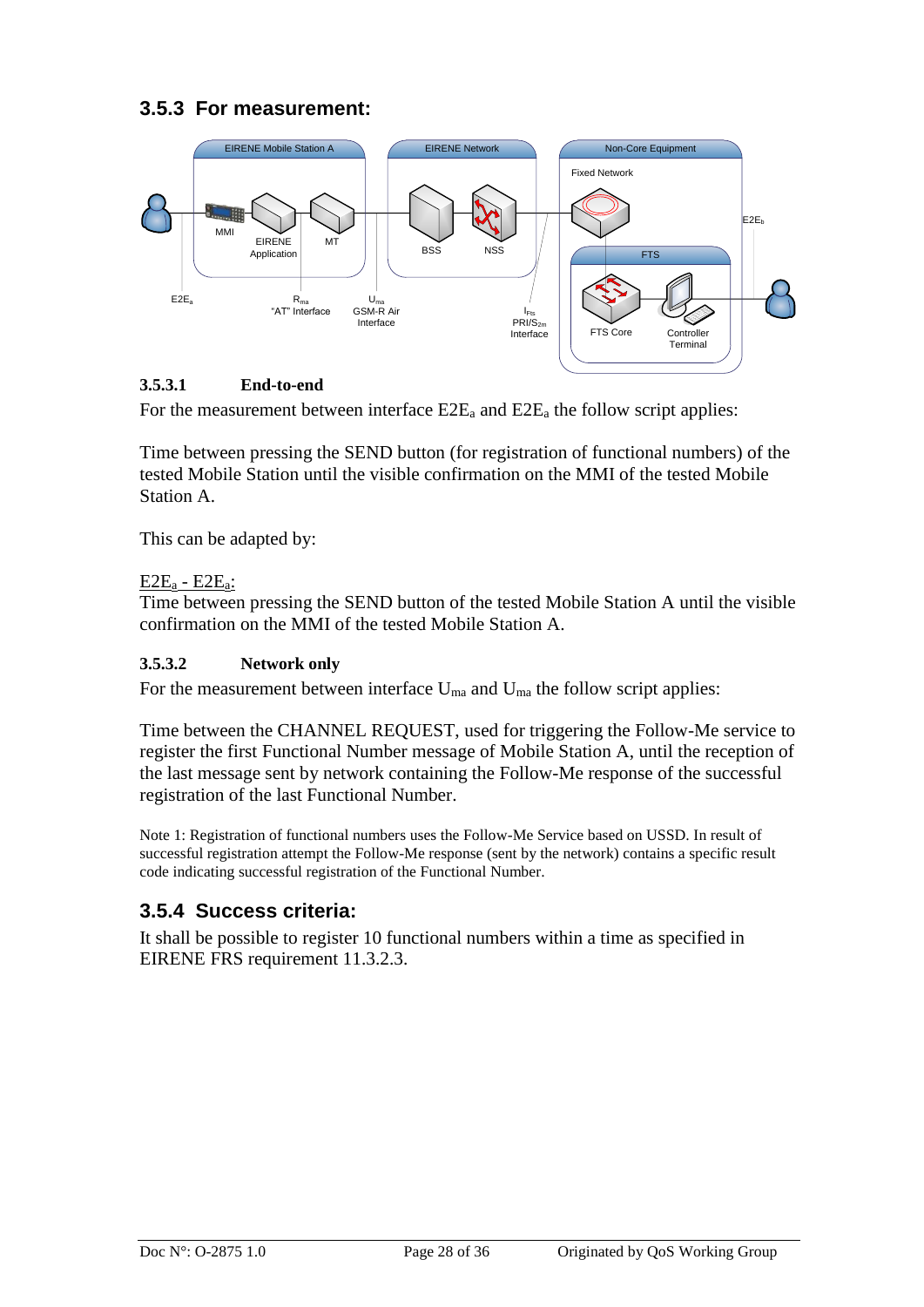## <span id="page-27-0"></span>**3.5.3 For measurement:**



#### **3.5.3.1 End-to-end**

For the measurement between interface  $E2E_a$  and  $E2E_a$  the follow script applies:

Time between pressing the SEND button (for registration of functional numbers) of the tested Mobile Station until the visible confirmation on the MMI of the tested Mobile Station A.

This can be adapted by:

#### E2E<sup>a</sup> - E2Ea:

Time between pressing the SEND button of the tested Mobile Station A until the visible confirmation on the MMI of the tested Mobile Station A.

#### **3.5.3.2 Network only**

For the measurement between interface  $U_{ma}$  and  $U_{ma}$  the follow script applies:

Time between the CHANNEL REQUEST, used for triggering the Follow-Me service to register the first Functional Number message of Mobile Station A, until the reception of the last message sent by network containing the Follow-Me response of the successful registration of the last Functional Number.

Note 1: Registration of functional numbers uses the Follow-Me Service based on USSD. In result of successful registration attempt the Follow-Me response (sent by the network) contains a specific result code indicating successful registration of the Functional Number.

## <span id="page-27-1"></span>**3.5.4 Success criteria:**

It shall be possible to register 10 functional numbers within a time as specified in EIRENE FRS requirement 11.3.2.3.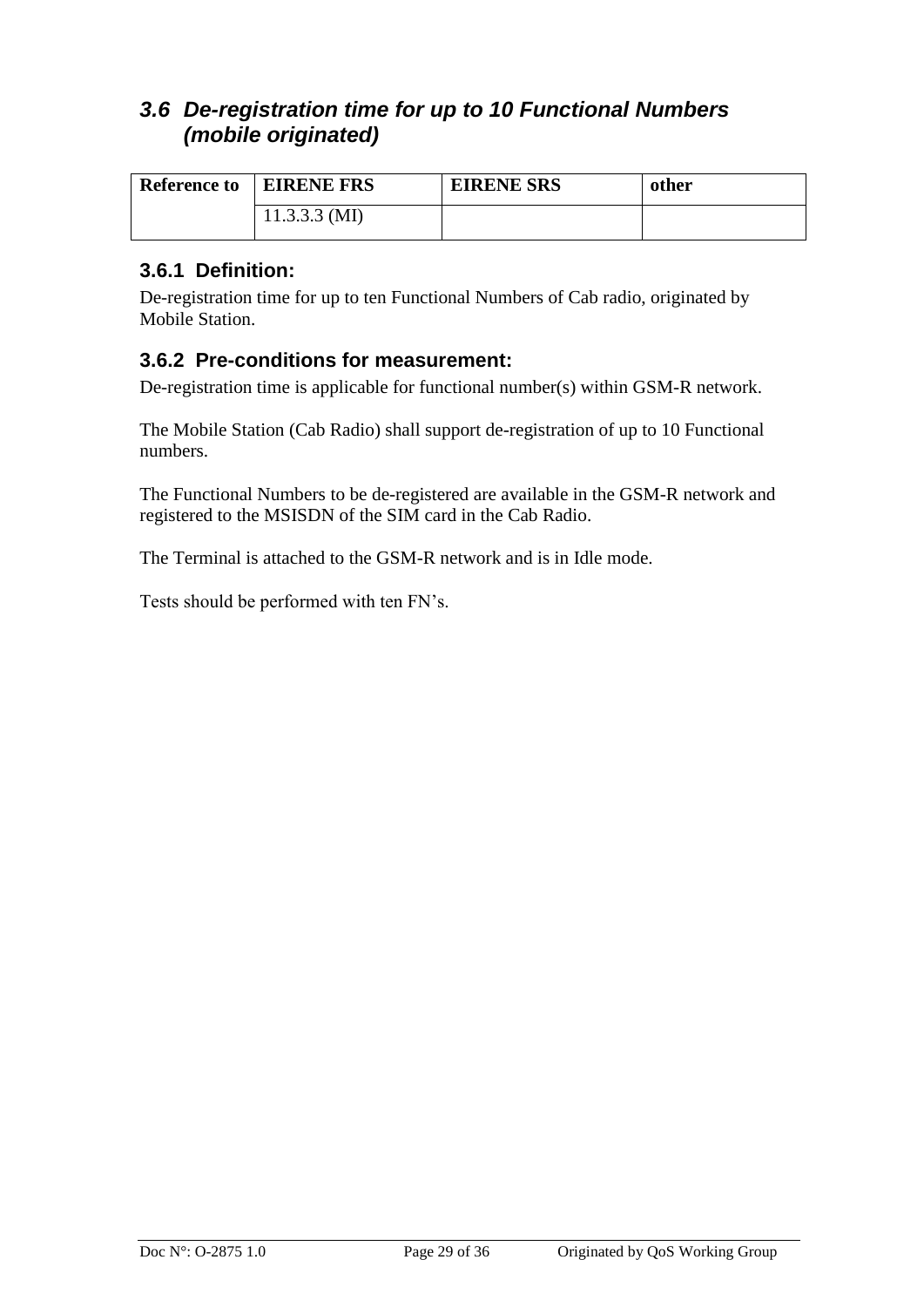## <span id="page-28-0"></span>*3.6 De-registration time for up to 10 Functional Numbers (mobile originated)*

| <b>Reference to</b> | <b>EIRENE FRS</b> | <b>EIRENE SRS</b> | other |
|---------------------|-------------------|-------------------|-------|
|                     | $11.3.3.3$ (MI)   |                   |       |

### <span id="page-28-1"></span>**3.6.1 Definition:**

De-registration time for up to ten Functional Numbers of Cab radio, originated by Mobile Station.

### <span id="page-28-2"></span>**3.6.2 Pre-conditions for measurement:**

De-registration time is applicable for functional number(s) within GSM-R network.

The Mobile Station (Cab Radio) shall support de-registration of up to 10 Functional numbers.

The Functional Numbers to be de-registered are available in the GSM-R network and registered to the MSISDN of the SIM card in the Cab Radio.

The Terminal is attached to the GSM-R network and is in Idle mode.

Tests should be performed with ten FN's.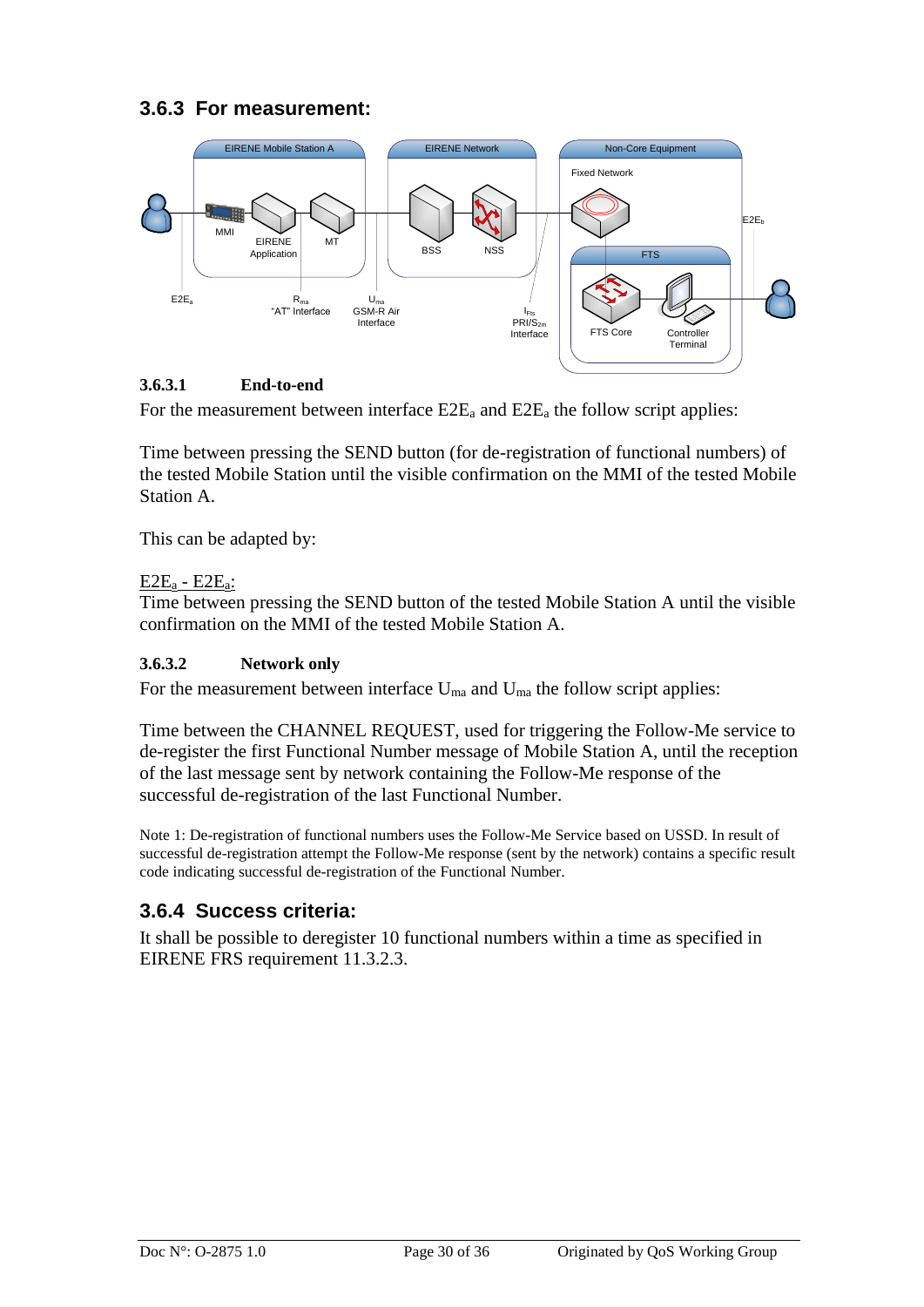## <span id="page-29-0"></span>**3.6.3 For measurement:**



#### **3.6.3.1 End-to-end**

For the measurement between interface  $E2E_a$  and  $E2E_a$  the follow script applies:

Time between pressing the SEND button (for de-registration of functional numbers) of the tested Mobile Station until the visible confirmation on the MMI of the tested Mobile Station A.

This can be adapted by:

#### E2E<sup>a</sup> - E2Ea:

Time between pressing the SEND button of the tested Mobile Station A until the visible confirmation on the MMI of the tested Mobile Station A.

#### **3.6.3.2 Network only**

For the measurement between interface  $U_{ma}$  and  $U_{ma}$  the follow script applies:

Time between the CHANNEL REQUEST, used for triggering the Follow-Me service to de-register the first Functional Number message of Mobile Station A, until the reception of the last message sent by network containing the Follow-Me response of the successful de-registration of the last Functional Number.

Note 1: De-registration of functional numbers uses the Follow-Me Service based on USSD. In result of successful de-registration attempt the Follow-Me response (sent by the network) contains a specific result code indicating successful de-registration of the Functional Number.

## <span id="page-29-1"></span>**3.6.4 Success criteria:**

It shall be possible to deregister 10 functional numbers within a time as specified in EIRENE FRS requirement 11.3.2.3.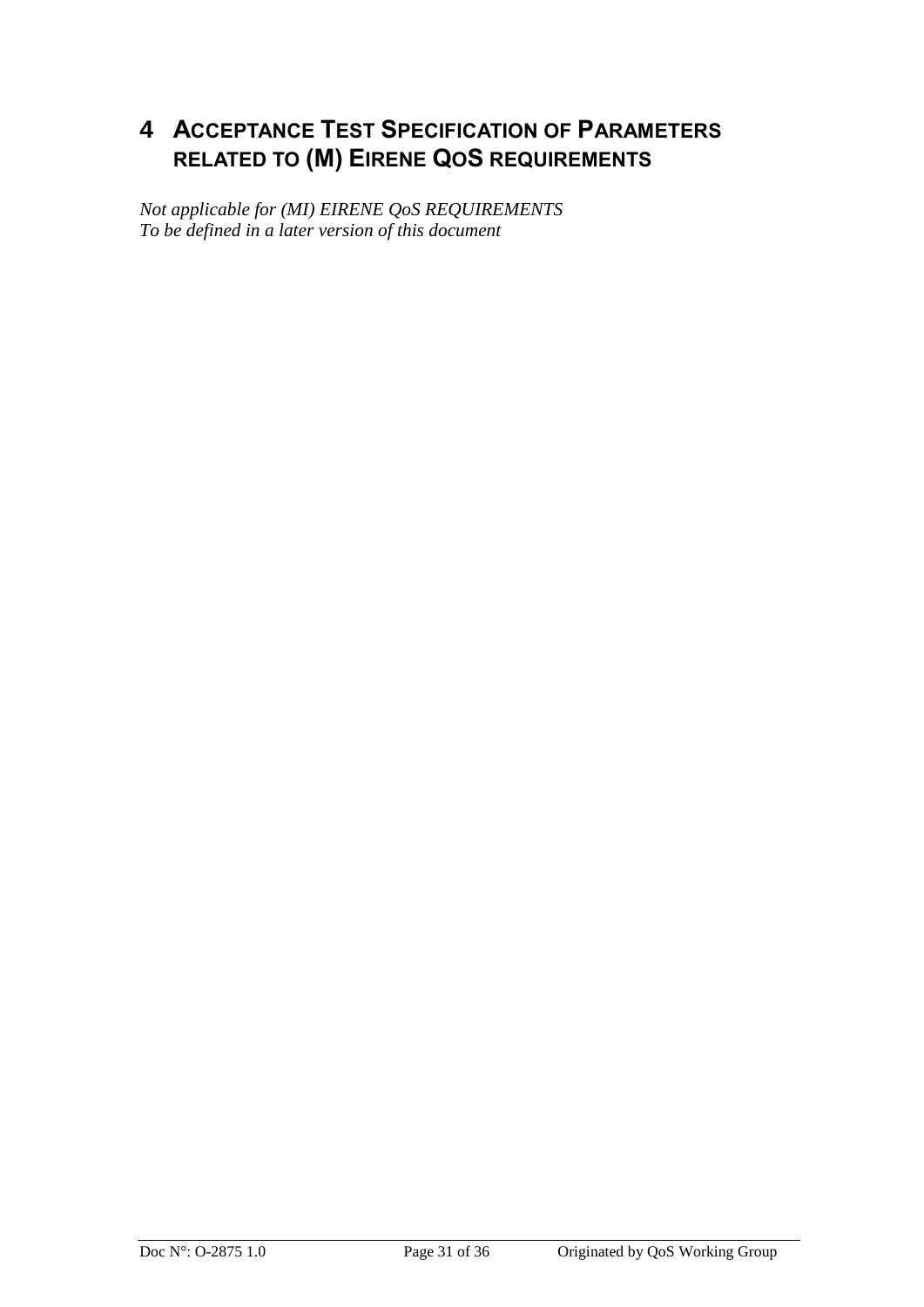## <span id="page-30-0"></span>**4 ACCEPTANCE TEST SPECIFICATION OF PARAMETERS RELATED TO (M) EIRENE QOS REQUIREMENTS**

*Not applicable for (MI) EIRENE QoS REQUIREMENTS To be defined in a later version of this document*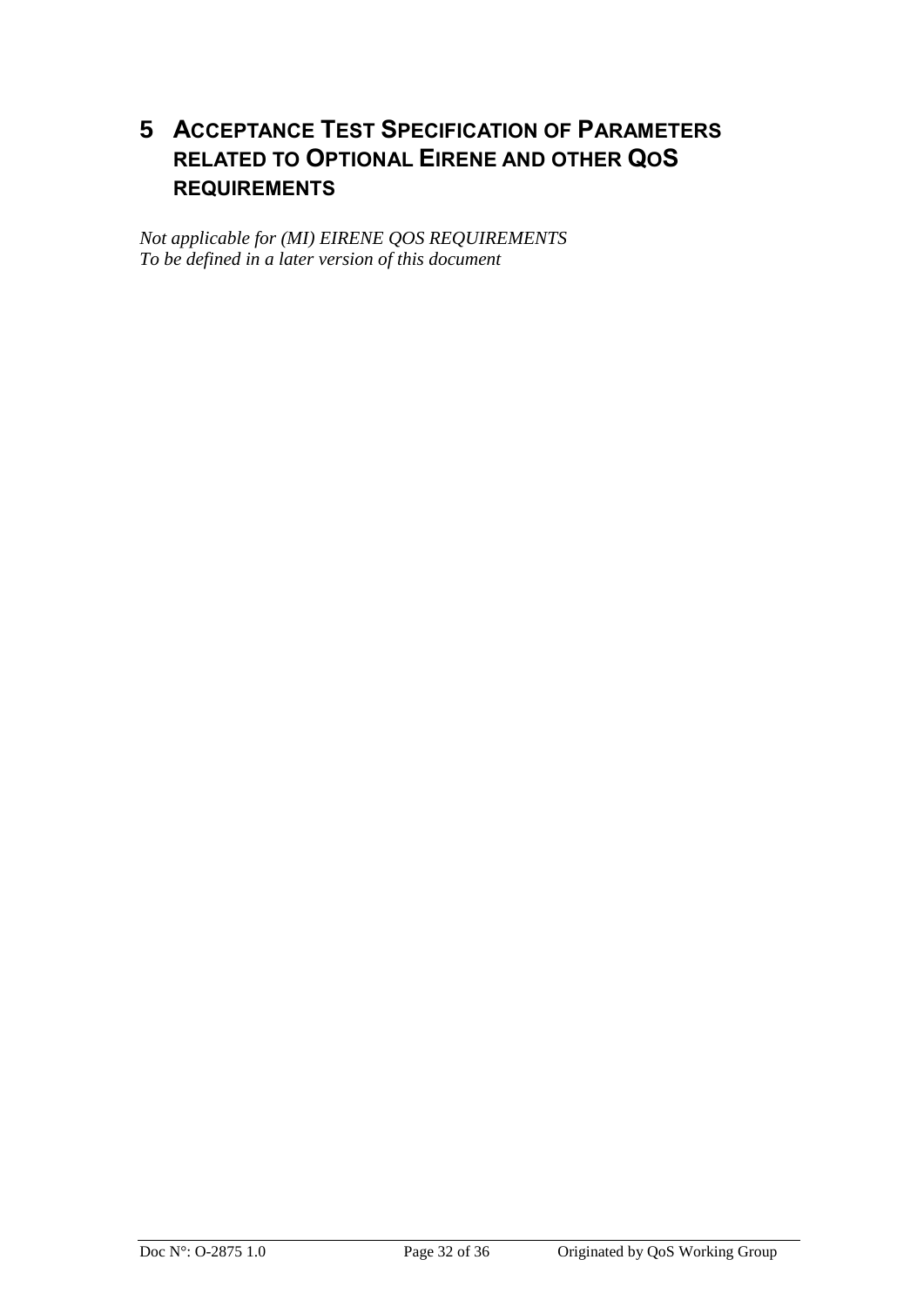## <span id="page-31-0"></span>**5 ACCEPTANCE TEST SPECIFICATION OF PARAMETERS RELATED TO OPTIONAL EIRENE AND OTHER QOS REQUIREMENTS**

*Not applicable for (MI) EIRENE QOS REQUIREMENTS To be defined in a later version of this document*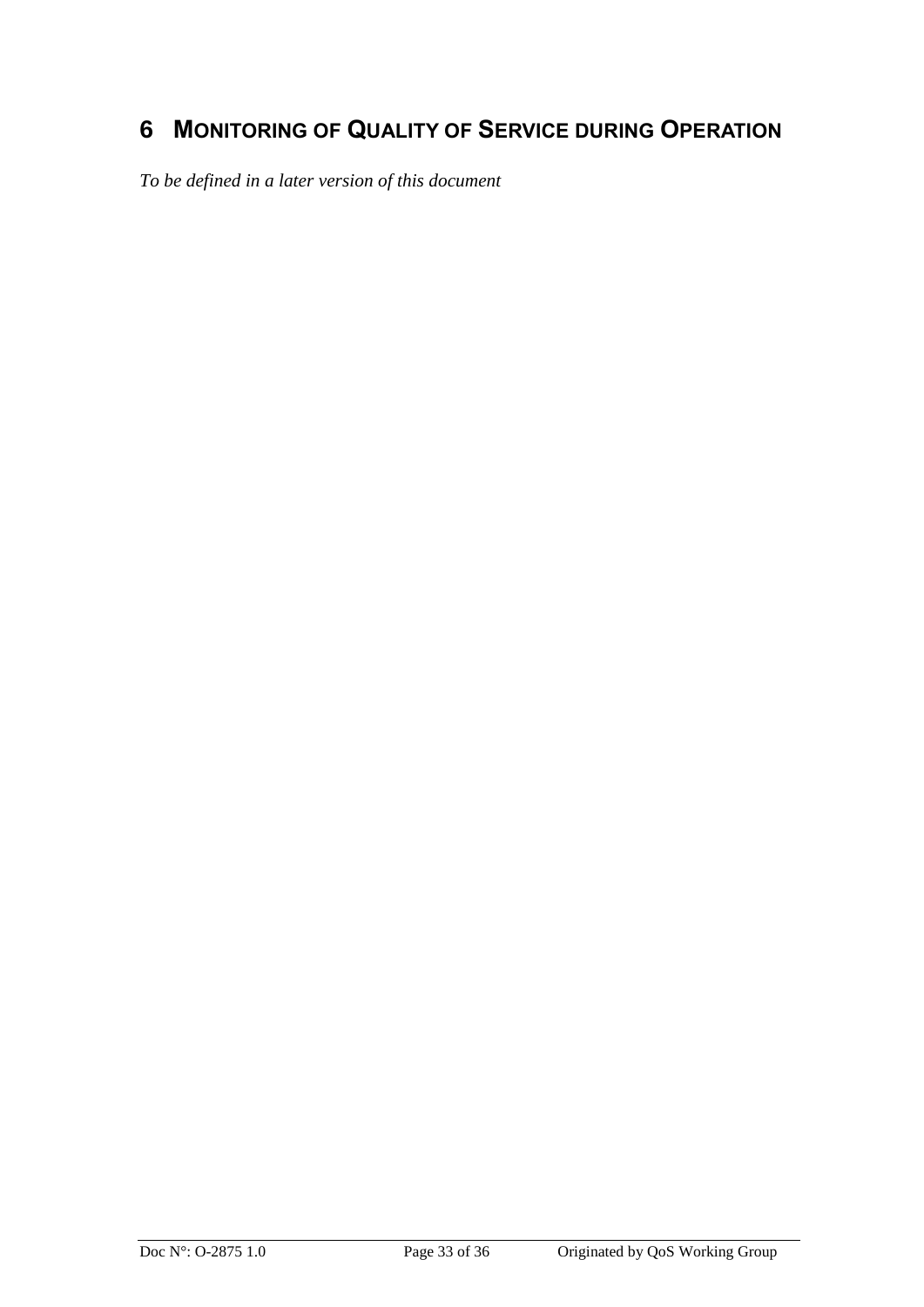## <span id="page-32-0"></span>**6 MONITORING OF QUALITY OF SERVICE DURING OPERATION**

*To be defined in a later version of this document*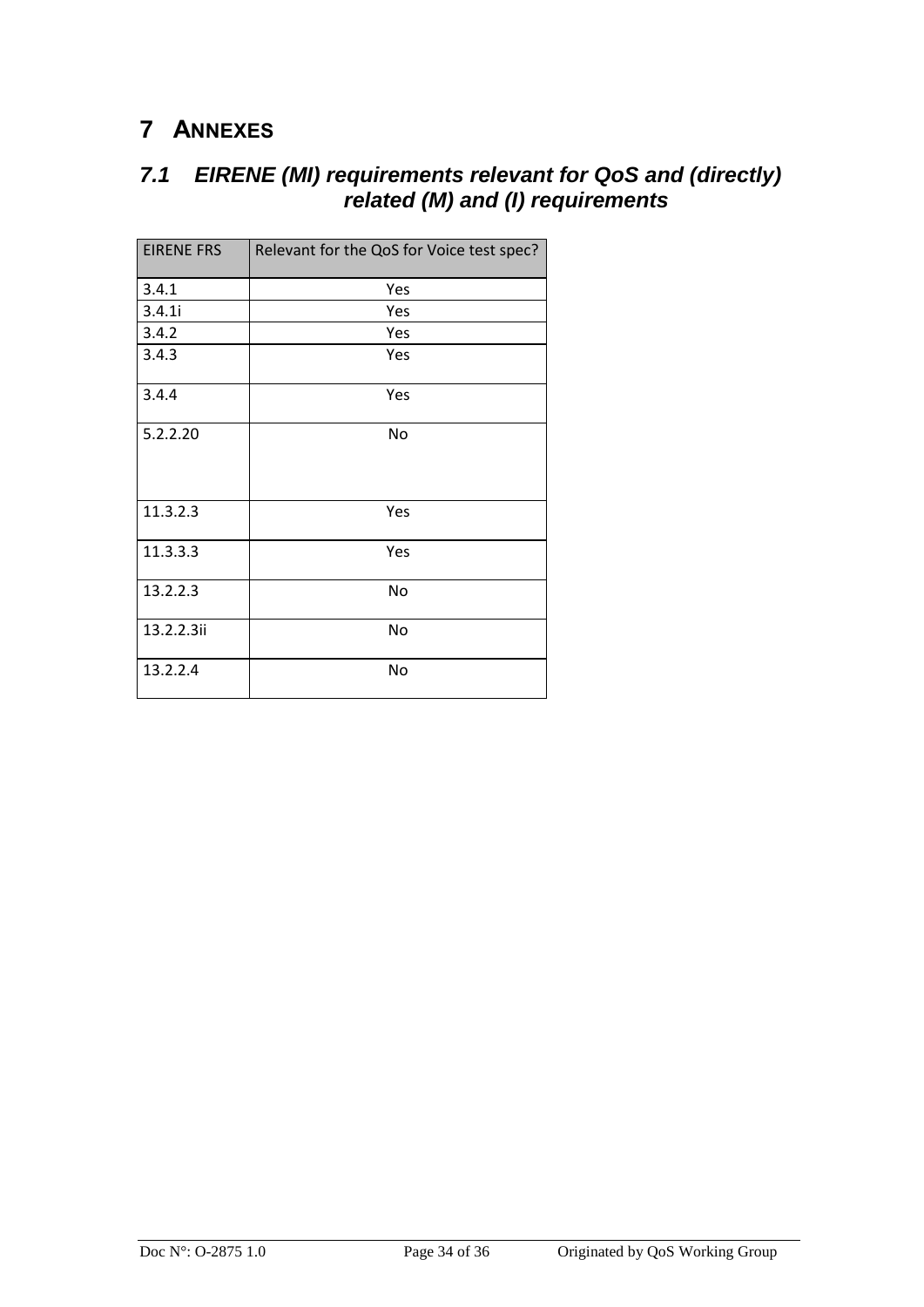## <span id="page-33-0"></span>**7 ANNEXES**

## <span id="page-33-1"></span>*7.1 EIRENE (MI) requirements relevant for QoS and (directly) related (M) and (I) requirements*

| <b>EIRENE FRS</b> | Relevant for the QoS for Voice test spec? |
|-------------------|-------------------------------------------|
| 3.4.1             | Yes                                       |
| 3.4.1i            | Yes                                       |
| 3.4.2             | Yes                                       |
| 3.4.3             | Yes                                       |
| 3.4.4             | Yes                                       |
| 5.2.2.20          | <b>No</b>                                 |
| 11.3.2.3          | Yes                                       |
| 11.3.3.3          | Yes                                       |
| 13.2.2.3          | No                                        |
| 13.2.2.3ii        | No                                        |
| 13.2.2.4          | No                                        |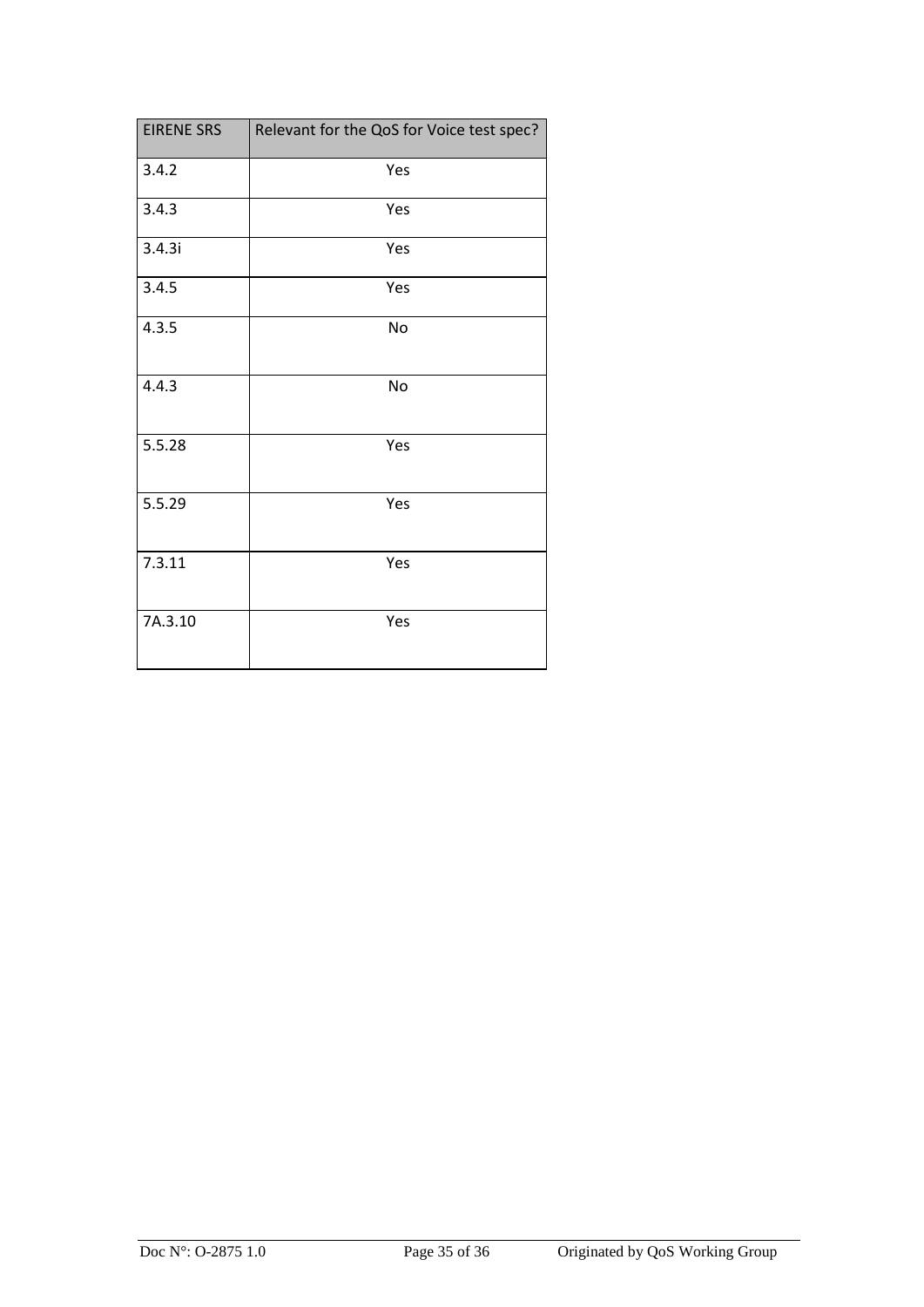| <b>EIRENE SRS</b> | Relevant for the QoS for Voice test spec? |
|-------------------|-------------------------------------------|
| 3.4.2             | Yes                                       |
| 3.4.3             | Yes                                       |
| 3.4.3i            | Yes                                       |
| 3.4.5             | Yes                                       |
| 4.3.5             | No                                        |
| 4.4.3             | No                                        |
| 5.5.28            | Yes                                       |
| 5.5.29            | Yes                                       |
| 7.3.11            | Yes                                       |
| 7A.3.10           | Yes                                       |